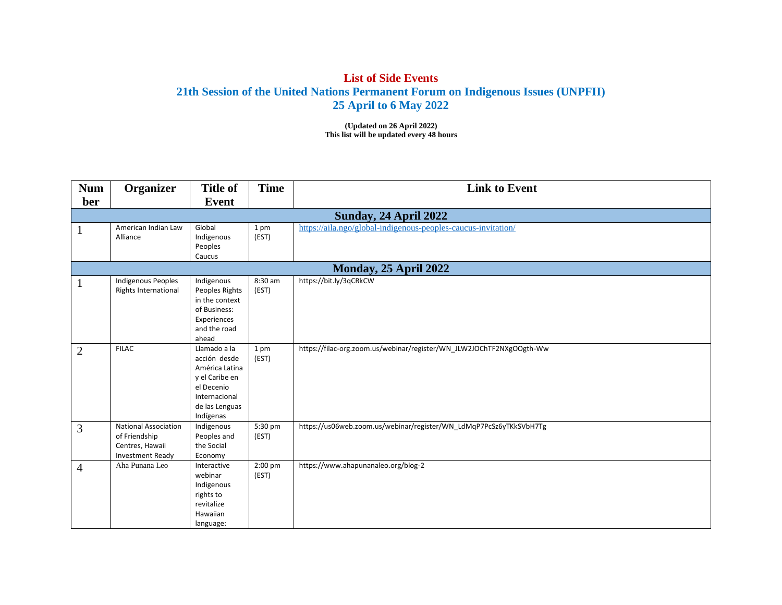## **List of Side Events 21th Session of the United Nations Permanent Forum on Indigenous Issues (UNPFII) 25 April to 6 May 2022**

**(Updated on 26 April 2022) This list will be updated every 48 hours**

| <b>Num</b>     | Organizer                                                                           | <b>Title of</b>                                                                                                                | <b>Time</b>        | <b>Link to Event</b>                                                 |  |  |  |  |
|----------------|-------------------------------------------------------------------------------------|--------------------------------------------------------------------------------------------------------------------------------|--------------------|----------------------------------------------------------------------|--|--|--|--|
| ber            |                                                                                     | Event                                                                                                                          |                    |                                                                      |  |  |  |  |
|                | Sunday, 24 April 2022                                                               |                                                                                                                                |                    |                                                                      |  |  |  |  |
| $\mathbf{1}$   | American Indian Law<br>Alliance                                                     | Global<br>Indigenous<br>Peoples<br>Caucus                                                                                      | 1 pm<br>(EST)      | https://aila.ngo/global-indigenous-peoples-caucus-invitation/        |  |  |  |  |
|                |                                                                                     |                                                                                                                                |                    | Monday, 25 April 2022                                                |  |  |  |  |
|                | <b>Indigenous Peoples</b><br>Rights International                                   | Indigenous<br>Peoples Rights<br>in the context<br>of Business:<br>Experiences<br>and the road<br>ahead                         | 8:30 am<br>(EST)   | https://bit.ly/3qCRkCW                                               |  |  |  |  |
| $\overline{2}$ | <b>FILAC</b>                                                                        | Llamado a la<br>acción desde<br>América Latina<br>y el Caribe en<br>el Decenio<br>Internacional<br>de las Lenguas<br>Indígenas | 1 pm<br>(EST)      | https://filac-org.zoom.us/webinar/register/WN_JLW2JOChTF2NXgOOgth-Ww |  |  |  |  |
| 3              | <b>National Association</b><br>of Friendship<br>Centres, Hawaii<br>Investment Ready | Indigenous<br>Peoples and<br>the Social<br>Economy                                                                             | 5:30 pm<br>(EST)   | https://us06web.zoom.us/webinar/register/WN_LdMqP7PcSz6yTKkSVbH7Tg   |  |  |  |  |
| $\overline{4}$ | Aha Punana Leo                                                                      | Interactive<br>webinar<br>Indigenous<br>rights to<br>revitalize<br>Hawaiian<br>language:                                       | $2:00$ pm<br>(EST) | https://www.ahapunanaleo.org/blog-2                                  |  |  |  |  |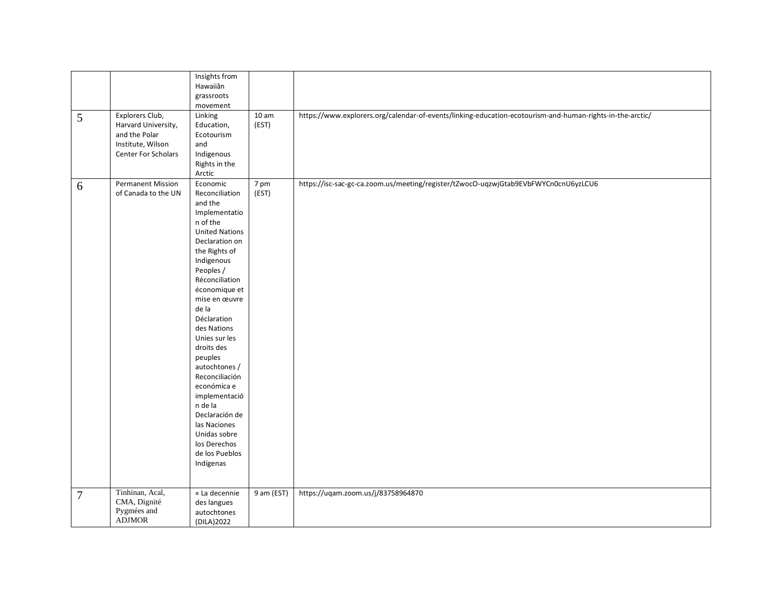| 5              | Explorers Club,<br>Harvard University,<br>and the Polar<br>Institute, Wilson<br>Center For Scholars | Insights from<br>Hawaiiân<br>grassroots<br>movement<br>Linking<br>Education,<br>Ecotourism<br>and<br>Indigenous<br>Rights in the<br>Arctic                                                                                                                                                                                                                                                                                                                                    | 10 <sub>am</sub><br>(EST) | https://www.explorers.org/calendar-of-events/linking-education-ecotourism-and-human-rights-in-the-arctic/ |
|----------------|-----------------------------------------------------------------------------------------------------|-------------------------------------------------------------------------------------------------------------------------------------------------------------------------------------------------------------------------------------------------------------------------------------------------------------------------------------------------------------------------------------------------------------------------------------------------------------------------------|---------------------------|-----------------------------------------------------------------------------------------------------------|
| 6              | <b>Permanent Mission</b><br>of Canada to the UN                                                     | Economic<br>Reconciliation<br>and the<br>Implementatio<br>n of the<br><b>United Nations</b><br>Declaration on<br>the Rights of<br>Indigenous<br>Peoples /<br>Réconciliation<br>économique et<br>mise en œuvre<br>de la<br>Déclaration<br>des Nations<br>Unies sur les<br>droits des<br>peuples<br>autochtones /<br>Reconciliación<br>económica e<br>implementació<br>n de la<br>Declaración de<br>las Naciones<br>Unidas sobre<br>los Derechos<br>de los Pueblos<br>Indígenas | 7 pm<br>(EST)             | https://isc-sac-gc-ca.zoom.us/meeting/register/tZwocO-uqzwjGtab9EVbFWYCn0cnU6yzLCU6                       |
| $\overline{7}$ | Tinhinan, Acal,<br>CMA, Dignité<br>Pygmées and<br><b>ADJMOR</b>                                     | « La decennie<br>des langues<br>autochtones<br>(DILA) 2022                                                                                                                                                                                                                                                                                                                                                                                                                    | 9 am (EST)                | https://uqam.zoom.us/j/83758964870                                                                        |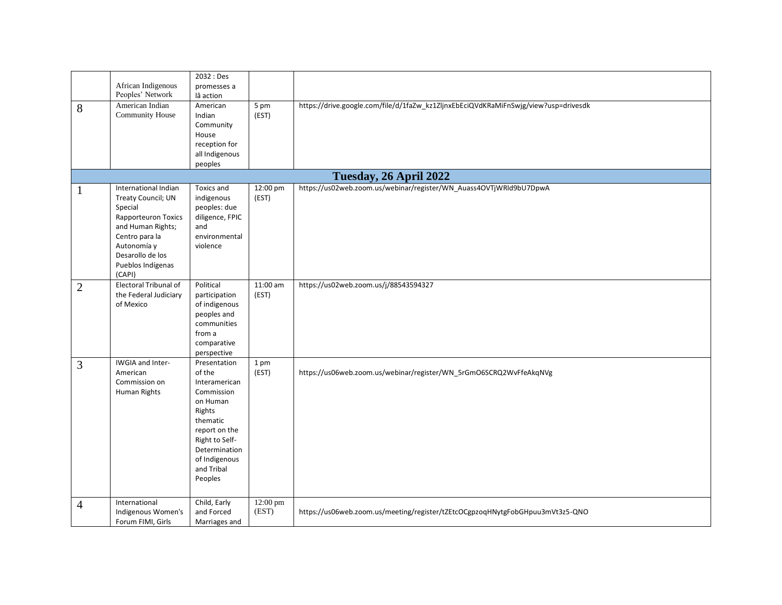|                        | African Indigenous<br>Peoples' Network                                                                                                                                                              | 2032 : Des<br>promesses a<br>lâ action                                                                                                                                                |                         |                                                                                     |  |  |  |
|------------------------|-----------------------------------------------------------------------------------------------------------------------------------------------------------------------------------------------------|---------------------------------------------------------------------------------------------------------------------------------------------------------------------------------------|-------------------------|-------------------------------------------------------------------------------------|--|--|--|
| 8                      | American Indian<br>Community House                                                                                                                                                                  | American<br>Indian<br>Community<br>House<br>reception for<br>all Indigenous<br>peoples                                                                                                | $5 \text{ pm}$<br>(EST) | https://drive.google.com/file/d/1faZw_kz1ZljnxEbEciQVdKRaMiFnSwjg/view?usp=drivesdk |  |  |  |
| Tuesday, 26 April 2022 |                                                                                                                                                                                                     |                                                                                                                                                                                       |                         |                                                                                     |  |  |  |
| 1                      | International Indian<br><b>Treaty Council; UN</b><br>Special<br><b>Rapporteuron Toxics</b><br>and Human Rights;<br>Centro para la<br>Autonomía y<br>Desarollo de los<br>Pueblos Indígenas<br>(CAPI) | Toxics and<br>indigenous<br>peoples: due<br>diligence, FPIC<br>and<br>environmental<br>violence                                                                                       | 12:00 pm<br>(EST)       | https://us02web.zoom.us/webinar/register/WN_Auass4OVTjWRld9bU7DpwA                  |  |  |  |
| $\overline{2}$         | Electoral Tribunal of<br>the Federal Judiciary<br>of Mexico                                                                                                                                         | Political<br>participation<br>of indigenous<br>peoples and<br>communities<br>from a<br>comparative<br>perspective                                                                     | $11:00$ am<br>(EST)     | https://us02web.zoom.us/j/88543594327                                               |  |  |  |
| 3                      | IWGIA and Inter-<br>American<br>Commission on<br>Human Rights                                                                                                                                       | Presentation<br>of the<br>Interamerican<br>Commission<br>on Human<br>Rights<br>thematic<br>report on the<br>Right to Self-<br>Determination<br>of Indigenous<br>and Tribal<br>Peoples | 1 pm<br>(EST)           | https://us06web.zoom.us/webinar/register/WN_5rGmO6SCRQ2WvFfeAkqNVg                  |  |  |  |
| $\overline{4}$         | International<br>Indigenous Women's<br>Forum FIMI, Girls                                                                                                                                            | Child, Early<br>and Forced<br>Marriages and                                                                                                                                           | 12:00 pm<br>(EST)       | https://us06web.zoom.us/meeting/register/tZEtcOCgpzoqHNytgFobGHpuu3mVt3z5-QNO       |  |  |  |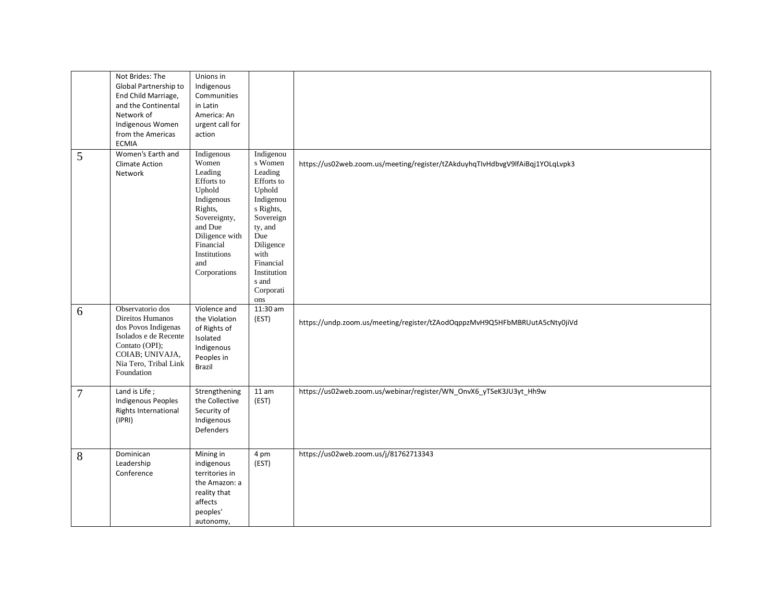|   | Not Brides: The<br>Global Partnership to<br>End Child Marriage,<br>and the Continental<br>Network of<br>Indigenous Women<br>from the Americas<br><b>ECMIA</b>    | Unions in<br>Indigenous<br>Communities<br>in Latin<br>America: An<br>urgent call for<br>action                                                                                   |                                                                                                                                                                                                |                                                                               |
|---|------------------------------------------------------------------------------------------------------------------------------------------------------------------|----------------------------------------------------------------------------------------------------------------------------------------------------------------------------------|------------------------------------------------------------------------------------------------------------------------------------------------------------------------------------------------|-------------------------------------------------------------------------------|
| 5 | Women's Earth and<br><b>Climate Action</b><br>Network                                                                                                            | Indigenous<br>Women<br>Leading<br>Efforts to<br>Uphold<br>Indigenous<br>Rights,<br>Sovereignty,<br>and Due<br>Diligence with<br>Financial<br>Institutions<br>and<br>Corporations | Indigenou<br>s Women<br>Leading<br>Efforts to<br>Uphold<br>Indigenou<br>s Rights,<br>Sovereign<br>ty, and<br>Due<br>Diligence<br>with<br>Financial<br>Institution<br>s and<br>Corporati<br>ons | https://us02web.zoom.us/meeting/register/tZAkduyhqTIvHdbvgV9lfAiBqj1YOLqLvpk3 |
| 6 | Observatorio dos<br>Direitos Humanos<br>dos Povos Indigenas<br>Isolados e de Recente<br>Contato (OPI);<br>COIAB; UNIVAJA,<br>Nia Tero, Tribal Link<br>Foundation | Violence and<br>the Violation<br>of Rights of<br>Isolated<br>Indigenous<br>Peoples in<br>Brazil                                                                                  | 11:30 am<br>(EST)                                                                                                                                                                              | https://undp.zoom.us/meeting/register/tZAodOqppzMvH9Q5HFbMBRUutA5cNty0jiVd    |
| 7 | Land is Life;<br>Indigenous Peoples<br>Rights International<br>(IPRI)                                                                                            | Strengthening<br>the Collective<br>Security of<br>Indigenous<br>Defenders                                                                                                        | 11 am<br>(EST)                                                                                                                                                                                 | https://us02web.zoom.us/webinar/register/WN_OnvX6_yTSeK3JU3yt_Hh9w            |
| 8 | Dominican<br>Leadership<br>Conference                                                                                                                            | Mining in<br>indigenous<br>territories in<br>the Amazon: a<br>reality that<br>affects<br>peoples'<br>autonomy,                                                                   | 4 pm<br>(EST)                                                                                                                                                                                  | https://us02web.zoom.us/j/81762713343                                         |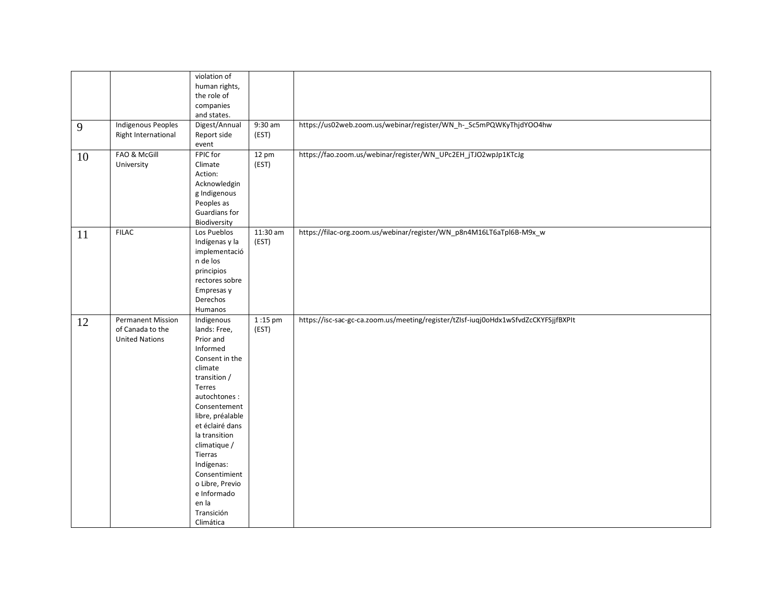| 9<br>10 | <b>Indigenous Peoples</b><br>Right International<br><b>FAO &amp; McGill</b> | violation of<br>human rights,<br>the role of<br>companies<br>and states.<br>Digest/Annual<br>Report side<br>event<br>FPIC for                                                                                                                                                                                                      | $9:30$ am<br>(EST)<br>$12 \text{ pm}$ | https://us02web.zoom.us/webinar/register/WN_h-_Sc5mPQWKyThjdYOO4hw<br>https://fao.zoom.us/webinar/register/WN_UPc2EH_jTJO2wpJp1KTcJg |
|---------|-----------------------------------------------------------------------------|------------------------------------------------------------------------------------------------------------------------------------------------------------------------------------------------------------------------------------------------------------------------------------------------------------------------------------|---------------------------------------|--------------------------------------------------------------------------------------------------------------------------------------|
|         | University                                                                  | Climate<br>Action:<br>Acknowledgin<br>g Indigenous<br>Peoples as<br>Guardians for<br>Biodiversity                                                                                                                                                                                                                                  | (EST)                                 |                                                                                                                                      |
| 11      | <b>FILAC</b>                                                                | Los Pueblos<br>Indígenas y la<br>implementació<br>n de los<br>principios<br>rectores sobre<br>Empresas y<br>Derechos<br>Humanos                                                                                                                                                                                                    | $11:30$ am<br>(EST)                   | https://filac-org.zoom.us/webinar/register/WN_p8n4M16LT6aTpl6B-M9x_w                                                                 |
| 12      | <b>Permanent Mission</b><br>of Canada to the<br><b>United Nations</b>       | Indigenous<br>lands: Free,<br>Prior and<br>Informed<br>Consent in the<br>climate<br>transition /<br>Terres<br>autochtones:<br>Consentement<br>libre, préalable<br>et éclairé dans<br>la transition<br>climatique /<br>Tierras<br>Indígenas:<br>Consentimient<br>o Libre, Previo<br>e Informado<br>en la<br>Transición<br>Climática | 1:15 pm<br>(EST)                      | https://isc-sac-gc-ca.zoom.us/meeting/register/tZIsf-iuqj0oHdx1wSfvdZcCKYFSjjfBXPIt                                                  |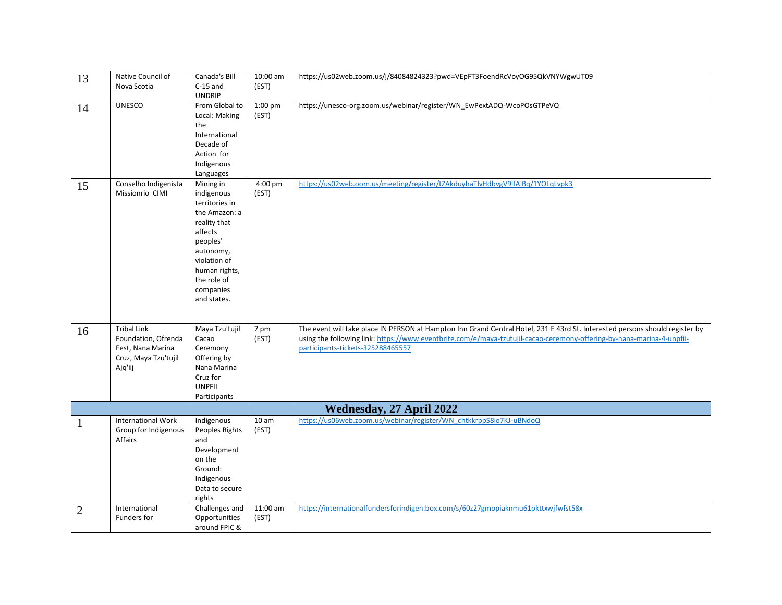| 13             | Native Council of<br>Nova Scotia                                                                  | Canada's Bill<br>$C-15$ and                                                                                                                                                                | 10:00 am<br>(EST)   | https://us02web.zoom.us/j/84084824323?pwd=VEpFT3FoendRcVoyOG95QkVNYWgwUT09                                                                                                                                                                                                                 |
|----------------|---------------------------------------------------------------------------------------------------|--------------------------------------------------------------------------------------------------------------------------------------------------------------------------------------------|---------------------|--------------------------------------------------------------------------------------------------------------------------------------------------------------------------------------------------------------------------------------------------------------------------------------------|
|                |                                                                                                   | <b>UNDRIP</b>                                                                                                                                                                              |                     |                                                                                                                                                                                                                                                                                            |
| 14             | <b>UNESCO</b>                                                                                     | From Global to<br>Local: Making<br>the<br>International<br>Decade of<br>Action for<br>Indigenous<br>Languages                                                                              | 1:00 pm<br>(EST)    | https://unesco-org.zoom.us/webinar/register/WN_EwPextADQ-WcoPOsGTPeVQ                                                                                                                                                                                                                      |
| 15             | Conselho Indigenista<br>Missionrio CIMI                                                           | Mining in<br>indigenous<br>territories in<br>the Amazon: a<br>reality that<br>affects<br>peoples'<br>autonomy,<br>violation of<br>human rights,<br>the role of<br>companies<br>and states. | 4:00 pm<br>(EST)    | https://us02web.oom.us/meeting/register/tZAkduyhaTlvHdbvgV9lfAiBq/1YOLqLvpk3                                                                                                                                                                                                               |
| 16             | <b>Tribal Link</b><br>Foundation, Ofrenda<br>Fest, Nana Marina<br>Cruz, Maya Tzu'tujil<br>Ajq'iij | Maya Tzu'tujil<br>Cacao<br>Ceremony<br>Offering by<br>Nana Marina<br>Cruz for<br><b>UNPFII</b><br>Participants                                                                             | 7 pm<br>(EST)       | The event will take place IN PERSON at Hampton Inn Grand Central Hotel, 231 E 43rd St. Interested persons should register by<br>using the following link: https://www.eventbrite.com/e/maya-tzutujil-cacao-ceremony-offering-by-nana-marina-4-unpfii-<br>participants-tickets-325288465557 |
|                |                                                                                                   |                                                                                                                                                                                            |                     | Wednesday, 27 April 2022                                                                                                                                                                                                                                                                   |
| $\mathbf{1}$   | <b>International Work</b><br>Group for Indigenous<br>Affairs                                      | Indigenous<br>Peoples Rights<br>and<br>Development<br>on the<br>Ground:<br>Indigenous<br>Data to secure<br>rights                                                                          | 10 am<br>(EST)      | https://us06web.zoom.us/webinar/register/WN_chtkkrppS8io7KJ-uBNdoQ                                                                                                                                                                                                                         |
| $\overline{c}$ | International<br>Funders for                                                                      | Challenges and<br>Opportunities<br>around FPIC &                                                                                                                                           | $11:00$ am<br>(EST) | https://internationalfundersforindigen.box.com/s/60z27gmopiaknmu61pkttxwjfwfst58x                                                                                                                                                                                                          |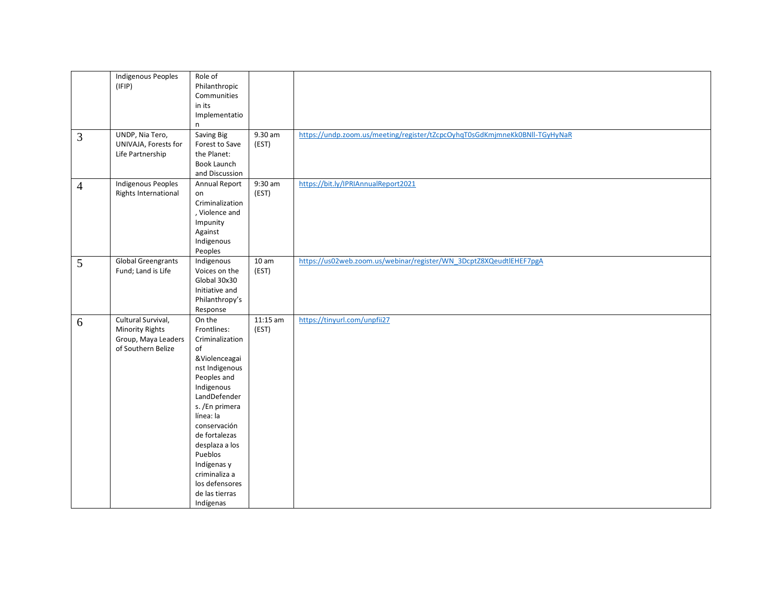|                | <b>Indigenous Peoples</b><br>(IFIP)<br>UNDP, Nia Tero,                                    | Role of<br>Philanthropic<br>Communities<br>in its<br>Implementatio<br>n<br>Saving Big                                                                                                                                                                                                                        | 9.30 am                   | https://undp.zoom.us/meeting/register/tZcpcOyhqT0sGdKmjmneKk0BNII-TGyHyNaR |
|----------------|-------------------------------------------------------------------------------------------|--------------------------------------------------------------------------------------------------------------------------------------------------------------------------------------------------------------------------------------------------------------------------------------------------------------|---------------------------|----------------------------------------------------------------------------|
| 3              | UNIVAJA, Forests for<br>Life Partnership                                                  | Forest to Save<br>the Planet:<br>Book Launch<br>and Discussion                                                                                                                                                                                                                                               | (EST)                     |                                                                            |
| $\overline{4}$ | <b>Indigenous Peoples</b><br>Rights International                                         | Annual Report<br>on<br>Criminalization<br>, Violence and<br>Impunity<br>Against<br>Indigenous<br>Peoples                                                                                                                                                                                                     | $9:30$ am<br>(EST)        | https://bit.ly/IPRIAnnualReport2021                                        |
| 5              | <b>Global Greengrants</b><br>Fund; Land is Life                                           | Indigenous<br>Voices on the<br>Global 30x30<br>Initiative and<br>Philanthropy's<br>Response                                                                                                                                                                                                                  | 10 <sub>am</sub><br>(EST) | https://us02web.zoom.us/webinar/register/WN_3DcptZ8XQeudtlEHEF7pgA         |
| 6              | Cultural Survival,<br><b>Minority Rights</b><br>Group, Maya Leaders<br>of Southern Belize | On the<br>Frontlines:<br>Criminalization<br>of<br>&Violenceagai<br>nst Indigenous<br>Peoples and<br>Indigenous<br>LandDefender<br>s. /En primera<br>línea: la<br>conservación<br>de fortalezas<br>desplaza a los<br>Pueblos<br>Indígenas y<br>criminaliza a<br>los defensores<br>de las tierras<br>Indígenas | $11:15$ am<br>(EST)       | https://tinyurl.com/unpfii27                                               |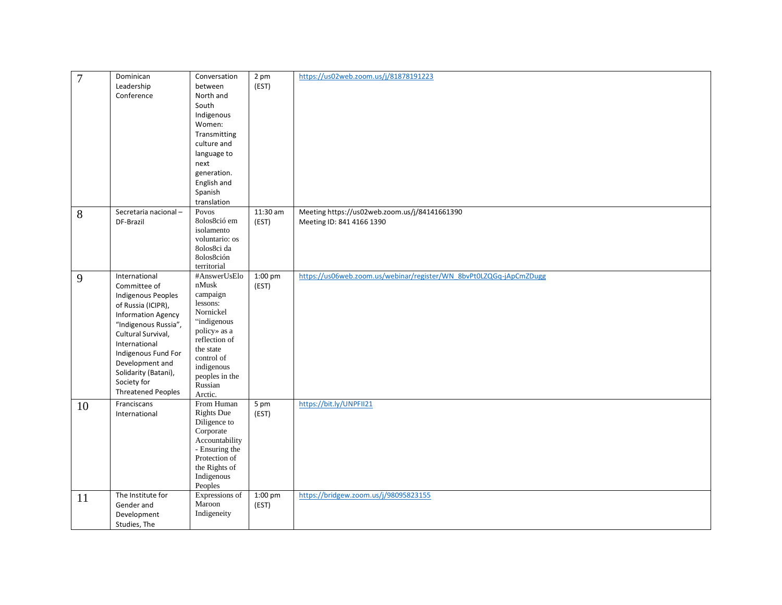| $\overline{7}$ | Dominican                 | Conversation              | 2 pm       | https://us02web.zoom.us/j/81878191223                              |
|----------------|---------------------------|---------------------------|------------|--------------------------------------------------------------------|
|                | Leadership                | between                   | (EST)      |                                                                    |
|                | Conference                | North and                 |            |                                                                    |
|                |                           | South                     |            |                                                                    |
|                |                           | Indigenous                |            |                                                                    |
|                |                           | Women:                    |            |                                                                    |
|                |                           | Transmitting              |            |                                                                    |
|                |                           | culture and               |            |                                                                    |
|                |                           | language to               |            |                                                                    |
|                |                           | next                      |            |                                                                    |
|                |                           | generation.               |            |                                                                    |
|                |                           | English and               |            |                                                                    |
|                |                           | Spanish                   |            |                                                                    |
|                |                           | translation               |            |                                                                    |
|                | Secretaria nacional-      |                           | $11:30$ am | Meeting https://us02web.zoom.us/j/84141661390                      |
| 8              | DF-Brazil                 | Povos<br>80los8ció em     |            |                                                                    |
|                |                           | isolamento                | (EST)      | Meeting ID: 841 4166 1390                                          |
|                |                           | voluntario: os            |            |                                                                    |
|                |                           | 80los8ci da               |            |                                                                    |
|                |                           | 8olos8ción                |            |                                                                    |
|                |                           | territorial               |            |                                                                    |
| 9              | International             | #AnswerUsElo              | $1:00$ pm  | https://us06web.zoom.us/webinar/register/WN_8bvPt0LZQGq-jApCmZDugg |
|                | Committee of              | $\operatorname{nMusk}$    | (EST)      |                                                                    |
|                | Indigenous Peoples        | campaign                  |            |                                                                    |
|                | of Russia (ICIPR),        | lessons:                  |            |                                                                    |
|                | <b>Information Agency</b> | Nornickel                 |            |                                                                    |
|                | "Indigenous Russia",      | "indigenous               |            |                                                                    |
|                | Cultural Survival,        | policy» as a              |            |                                                                    |
|                | International             | reflection of             |            |                                                                    |
|                | Indigenous Fund For       | the state                 |            |                                                                    |
|                | Development and           | control of                |            |                                                                    |
|                | Solidarity (Batani),      | indigenous                |            |                                                                    |
|                | Society for               | peoples in the            |            |                                                                    |
|                | <b>Threatened Peoples</b> | Russian                   |            |                                                                    |
|                |                           | Arctic.                   |            |                                                                    |
| 10             | Franciscans               | From Human                | 5 pm       | https://bit.ly/UNPFII21                                            |
|                | International             | <b>Rights Due</b>         | (EST)      |                                                                    |
|                |                           | Diligence to<br>Corporate |            |                                                                    |
|                |                           | Accountability            |            |                                                                    |
|                |                           | - Ensuring the            |            |                                                                    |
|                |                           | Protection of             |            |                                                                    |
|                |                           | the Rights of             |            |                                                                    |
|                |                           | Indigenous                |            |                                                                    |
|                |                           | Peoples                   |            |                                                                    |
|                | The Institute for         | Expressions of            | 1:00 pm    | https://bridgew.zoom.us/j/98095823155                              |
| 11             | Gender and                | Maroon                    | (EST)      |                                                                    |
|                | Development               | Indigeneity               |            |                                                                    |
|                |                           |                           |            |                                                                    |
|                | Studies, The              |                           |            |                                                                    |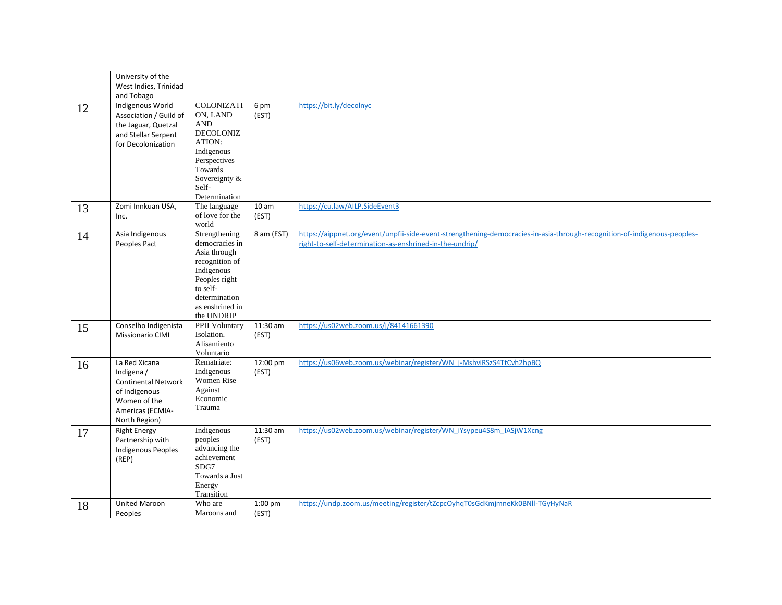|    | University of the<br>West Indies, Trinidad                                                                                      |                                                                                                                                                                |                     |                                                                                                                                                                                     |
|----|---------------------------------------------------------------------------------------------------------------------------------|----------------------------------------------------------------------------------------------------------------------------------------------------------------|---------------------|-------------------------------------------------------------------------------------------------------------------------------------------------------------------------------------|
| 12 | and Tobago<br>Indigenous World<br>Association / Guild of<br>the Jaguar, Quetzal<br>and Stellar Serpent<br>for Decolonization    | COLONIZATI<br>ON, LAND<br><b>AND</b><br><b>DECOLONIZ</b><br>ATION:<br>Indigenous<br>Perspectives<br>Towards<br>Sovereignty &<br>Self-<br>Determination         | 6 pm<br>(EST)       | https://bit.ly/decolnyc                                                                                                                                                             |
| 13 | Zomi Innkuan USA,<br>Inc.                                                                                                       | The language<br>of love for the<br>world                                                                                                                       | 10 am<br>(EST)      | https://cu.law/AILP.SideEvent3                                                                                                                                                      |
| 14 | Asia Indigenous<br>Peoples Pact                                                                                                 | Strengthening<br>democracies in<br>Asia through<br>recognition of<br>Indigenous<br>Peoples right<br>to self-<br>determination<br>as enshrined in<br>the UNDRIP | 8 am (EST)          | https://aippnet.org/event/unpfii-side-event-strengthening-democracies-in-asia-through-recognition-of-indigenous-peoples-<br>right-to-self-determination-as-enshrined-in-the-undrip/ |
| 15 | Conselho Indigenista<br>Missionario CIMI                                                                                        | PPII Voluntary<br>Isolation.<br>Alisamiento<br>Voluntario                                                                                                      | $11:30$ am<br>(EST) | https://us02web.zoom.us/j/84141661390                                                                                                                                               |
| 16 | La Red Xicana<br>Indigena /<br><b>Continental Network</b><br>of Indigenous<br>Women of the<br>Americas (ECMIA-<br>North Region) | Rematriate:<br>Indigenous<br><b>Women Rise</b><br>Against<br>Economic<br>Trauma                                                                                | 12:00 pm<br>(EST)   | https://us06web.zoom.us/webinar/register/WN_j-MshviRSzS4TtCvh2hpBQ                                                                                                                  |
| 17 | <b>Right Energy</b><br>Partnership with<br><b>Indigenous Peoples</b><br>(REP)                                                   | Indigenous<br>peoples<br>advancing the<br>achievement<br>SDG7<br>Towards a Just<br>Energy<br>Transition                                                        | 11:30 am<br>(EST)   | https://us02web.zoom.us/webinar/register/WN_iYsypeu4S8m_IASjW1Xcng                                                                                                                  |
| 18 | United Maroon<br>Peoples                                                                                                        | Who are<br>Maroons and                                                                                                                                         | 1:00 pm<br>(EST)    | https://undp.zoom.us/meeting/register/tZcpcOyhqT0sGdKmjmneKk0BNIl-TGyHyNaR                                                                                                          |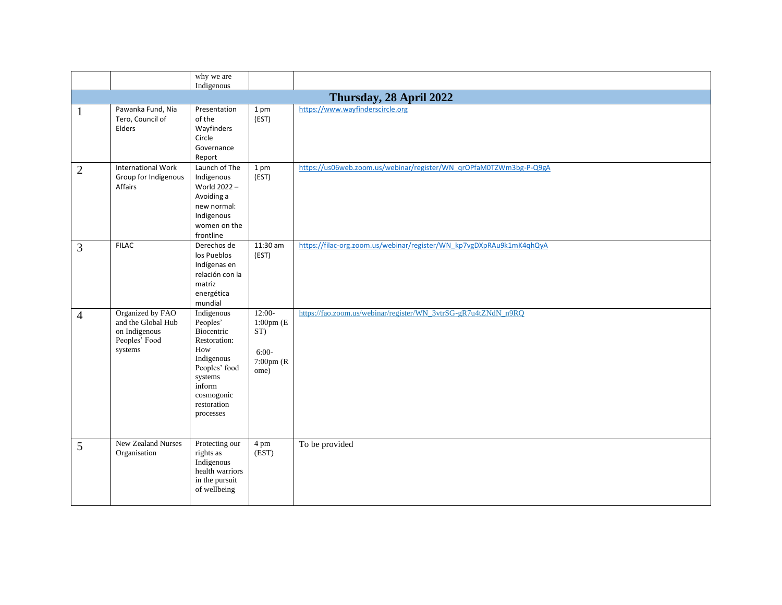|                |                                                                                     | why we are                                                                                                                                                |                                                                          |                                                                      |  |  |  |
|----------------|-------------------------------------------------------------------------------------|-----------------------------------------------------------------------------------------------------------------------------------------------------------|--------------------------------------------------------------------------|----------------------------------------------------------------------|--|--|--|
|                |                                                                                     | Indigenous                                                                                                                                                |                                                                          |                                                                      |  |  |  |
|                | Thursday, 28 April 2022                                                             |                                                                                                                                                           |                                                                          |                                                                      |  |  |  |
| 1              | Pawanka Fund, Nia<br>Tero, Council of<br>Elders                                     | Presentation<br>of the<br>Wayfinders<br>Circle<br>Governance<br>Report                                                                                    | 1 pm<br>(EST)                                                            | https://www.wayfinderscircle.org                                     |  |  |  |
| $\mathbf{2}$   | <b>International Work</b><br>Group for Indigenous<br>Affairs                        | Launch of The<br>Indigenous<br>World 2022-<br>Avoiding a<br>new normal:<br>Indigenous<br>women on the<br>frontline                                        | 1 pm<br>(EST)                                                            | https://us06web.zoom.us/webinar/register/WN_qrOPfaM0TZWm3bg-P-Q9gA   |  |  |  |
| 3              | <b>FILAC</b>                                                                        | Derechos de<br>los Pueblos<br>Indígenas en<br>relación con la<br>matriz<br>energética<br>mundial                                                          | 11:30 am<br>(EST)                                                        | https://filac-org.zoom.us/webinar/register/WN_kp7vgDXpRAu9k1mK4qhQyA |  |  |  |
| $\overline{4}$ | Organized by FAO<br>and the Global Hub<br>on Indigenous<br>Peoples' Food<br>systems | Indigenous<br>Peoples'<br>Biocentric<br>Restoration:<br>How<br>Indigenous<br>Peoples' food<br>systems<br>inform<br>cosmogonic<br>restoration<br>processes | $12:00-$<br>$1:00$ pm $(E)$<br>ST)<br>$6:00-$<br>$7:00$ pm $(R)$<br>ome) | https://fao.zoom.us/webinar/register/WN_3vtrSG-gR7u4tZNdN_n9RQ       |  |  |  |
| 5              | New Zealand Nurses<br>Organisation                                                  | Protecting our<br>rights as<br>Indigenous<br>health warriors<br>in the pursuit<br>of wellbeing                                                            | 4 pm<br>$\overline{\text{EST}}$                                          | To be provided                                                       |  |  |  |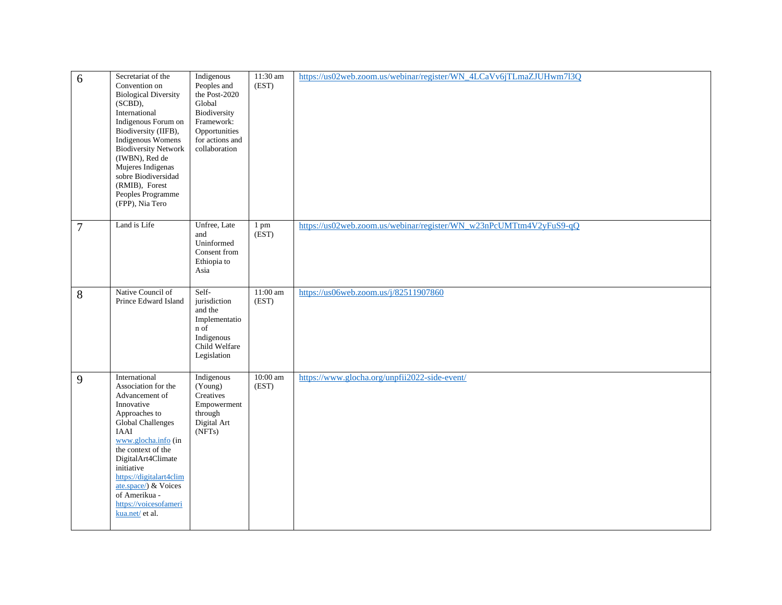| 6              | Secretariat of the<br>Convention on<br><b>Biological Diversity</b><br>$(SCBD)$ ,<br>International<br>Indigenous Forum on<br>Biodiversity (IIFB),<br>Indigenous Womens<br><b>Biodiversity Network</b><br>(IWBN), Red de<br>Mujeres Indigenas<br>sobre Biodiversidad<br>(RMIB), Forest<br>Peoples Programme<br>(FPP), Nia Tero | Indigenous<br>Peoples and<br>the Post-2020<br>Global<br>Biodiversity<br>Framework:<br>Opportunities<br>for actions and<br>collaboration | 11:30 am<br>(EST)   | https://us02web.zoom.us/webinar/register/WN_4LCaVv6jTLmaZJUHwm7l3Q |
|----------------|------------------------------------------------------------------------------------------------------------------------------------------------------------------------------------------------------------------------------------------------------------------------------------------------------------------------------|-----------------------------------------------------------------------------------------------------------------------------------------|---------------------|--------------------------------------------------------------------|
| $\overline{7}$ | Land is Life                                                                                                                                                                                                                                                                                                                 | Unfree, Late<br>and<br>Uninformed<br>Consent from<br>Ethiopia to<br>Asia                                                                | 1 pm<br>(EST)       | https://us02web.zoom.us/webinar/register/WN_w23nPcUMTtm4V2yFuS9-qQ |
| 8              | Native Council of<br>Prince Edward Island                                                                                                                                                                                                                                                                                    | Self-<br>jurisdiction<br>and the<br>Implementatio<br>n of<br>Indigenous<br>Child Welfare<br>Legislation                                 | 11:00 am<br>(EST)   | https://us06web.zoom.us/j/82511907860                              |
| 9              | International<br>Association for the<br>Advancement of<br>Innovative<br>Approaches to<br>Global Challenges<br>IAAI<br>www.glocha.info (in<br>the context of the<br>DigitalArt4Climate<br>initiative<br>https://digitalart4clim<br>ate.space/) & Voices<br>of Amerikua -<br>https://voicesofameri<br>kua.net/ et al.          | Indigenous<br>(Young)<br>Creatives<br>Empowerment<br>through<br>Digital Art<br>(NFTs)                                                   | $10:00$ am<br>(EST) | https://www.glocha.org/unpfii2022-side-event/                      |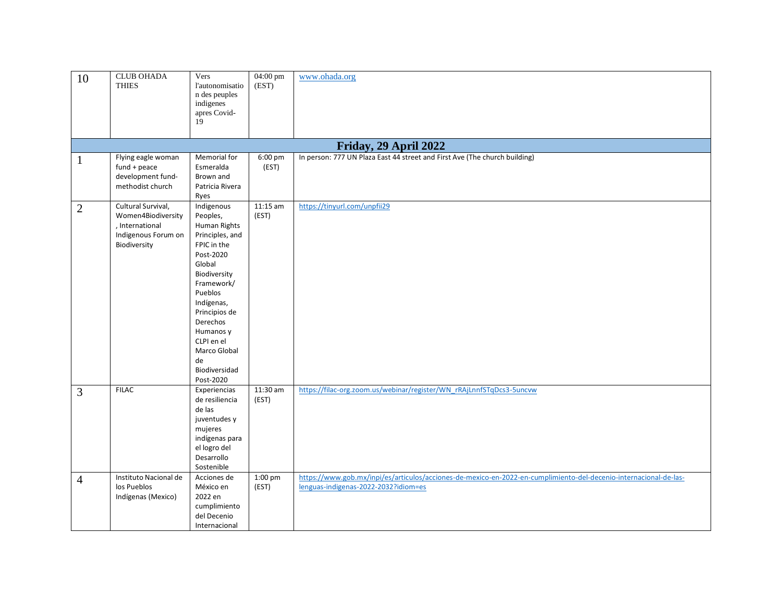| 10             | <b>CLUB OHADA</b><br><b>THIES</b>                                                                  | Vers<br>l'autonomisatio<br>n des peuples<br>indigenes<br>apres Covid-<br>19                                                                                                                                                                                        | 04:00 pm<br>(EST)          | www.ohada.org                                                                                                                                             |
|----------------|----------------------------------------------------------------------------------------------------|--------------------------------------------------------------------------------------------------------------------------------------------------------------------------------------------------------------------------------------------------------------------|----------------------------|-----------------------------------------------------------------------------------------------------------------------------------------------------------|
|                |                                                                                                    |                                                                                                                                                                                                                                                                    |                            | Friday, 29 April 2022                                                                                                                                     |
| $\mathbf{1}$   | Flying eagle woman<br>$fund + peace$<br>development fund-<br>methodist church                      | Memorial for<br>Esmeralda<br>Brown and<br>Patricia Rivera<br>Ryes                                                                                                                                                                                                  | $6:00 \text{ pm}$<br>(EST) | In person: 777 UN Plaza East 44 street and First Ave (The church building)                                                                                |
| $\overline{2}$ | Cultural Survival,<br>Women4Biodiversity<br>, International<br>Indigenous Forum on<br>Biodiversity | Indigenous<br>Peoples,<br>Human Rights<br>Principles, and<br>FPIC in the<br>Post-2020<br>Global<br>Biodiversity<br>Framework/<br>Pueblos<br>Indígenas,<br>Principios de<br>Derechos<br>Humanos y<br>CLPI en el<br>Marco Global<br>de<br>Biodiversidad<br>Post-2020 | $11:15$ am<br>(EST)        | https://tinyurl.com/unpfii29                                                                                                                              |
| 3              | <b>FILAC</b>                                                                                       | Experiencias<br>de resiliencia<br>de las<br>juventudes y<br>mujeres<br>indígenas para<br>el logro del<br>Desarrollo<br>Sostenible                                                                                                                                  | $11:30$ am<br>(EST)        | https://filac-org.zoom.us/webinar/register/WN_rRAjLnnfSTqDcs3-5uncvw                                                                                      |
| $\overline{4}$ | Instituto Nacional de<br>los Pueblos<br>Indígenas (Mexico)                                         | Acciones de<br>México en<br>2022 en<br>cumplimiento<br>del Decenio<br>Internacional                                                                                                                                                                                | $1:00$ pm<br>(EST)         | https://www.gob.mx/inpi/es/articulos/acciones-de-mexico-en-2022-en-cumplimiento-del-decenio-internacional-de-las-<br>lenguas-indigenas-2022-2032?idiom=es |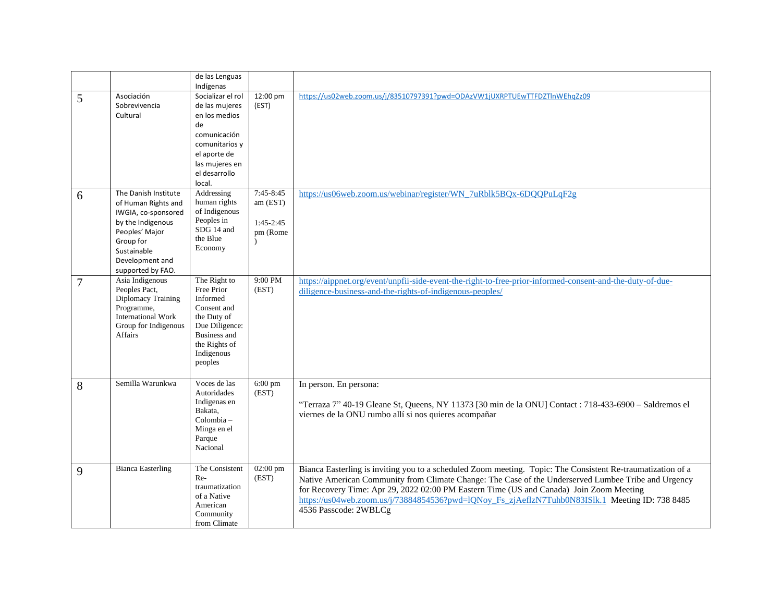|   |                                                                                                                                                                               | de las Lenguas<br>Indígenas                                                                                                                               |                                                               |                                                                                                                                                                                                                                                                                                                                                                                                                                           |
|---|-------------------------------------------------------------------------------------------------------------------------------------------------------------------------------|-----------------------------------------------------------------------------------------------------------------------------------------------------------|---------------------------------------------------------------|-------------------------------------------------------------------------------------------------------------------------------------------------------------------------------------------------------------------------------------------------------------------------------------------------------------------------------------------------------------------------------------------------------------------------------------------|
| 5 | Asociación<br>Sobrevivencia<br>Cultural                                                                                                                                       | Socializar el rol<br>de las mujeres<br>en los medios<br>de<br>comunicación<br>comunitarios y<br>el aporte de<br>las mujeres en<br>el desarrollo<br>local. | 12:00 pm<br>(EST)                                             | https://us02web.zoom.us/j/83510797391?pwd=ODAzVW1jUXRPTUEwTTFDZTlnWEhgZz09                                                                                                                                                                                                                                                                                                                                                                |
| 6 | The Danish Institute<br>of Human Rights and<br>IWGIA, co-sponsored<br>by the Indigenous<br>Peoples' Major<br>Group for<br>Sustainable<br>Development and<br>supported by FAO. | Addressing<br>human rights<br>of Indigenous<br>Peoples in<br>SDG 14 and<br>the Blue<br>Economy                                                            | 7:45-8:45<br>am (EST)<br>$1:45-2:45$<br>pm (Rome<br>$\lambda$ | https://us06web.zoom.us/webinar/register/WN_7uRblk5BQx-6DQQPuLqF2g                                                                                                                                                                                                                                                                                                                                                                        |
| 7 | Asia Indigenous<br>Peoples Pact,<br>Diplomacy Training<br>Programme,<br><b>International Work</b><br>Group for Indigenous<br><b>Affairs</b>                                   | The Right to<br>Free Prior<br>Informed<br>Consent and<br>the Duty of<br>Due Diligence:<br><b>Business and</b><br>the Rights of<br>Indigenous<br>peoples   | 9:00 PM<br>(EST)                                              | https://aippnet.org/event/unpfii-side-event-the-right-to-free-prior-informed-consent-and-the-duty-of-due-<br>diligence-business-and-the-rights-of-indigenous-peoples/                                                                                                                                                                                                                                                                     |
| 8 | Semilla Warunkwa                                                                                                                                                              | Voces de las<br>Autoridades<br>Indigenas en<br>Bakata,<br>Colombia-<br>Minga en el<br>Parque<br>Nacional                                                  | $6:00$ pm<br>(EST)                                            | In person. En persona:<br>"Terraza 7" 40-19 Gleane St, Queens, NY 11373 [30 min de la ONU] Contact : 718-433-6900 - Saldremos el<br>viernes de la ONU rumbo allí si nos quieres acompañar                                                                                                                                                                                                                                                 |
| 9 | <b>Bianca Easterling</b>                                                                                                                                                      | The Consistent<br>$Re-$<br>traumatization<br>of a Native<br>American<br>Community<br>from Climate                                                         | 02:00 pm<br>(EST)                                             | Bianca Easterling is inviting you to a scheduled Zoom meeting. Topic: The Consistent Re-traumatization of a<br>Native American Community from Climate Change: The Case of the Underserved Lumbee Tribe and Urgency<br>for Recovery Time: Apr 29, 2022 02:00 PM Eastern Time (US and Canada) Join Zoom Meeting<br>https://us04web.zoom.us/j/73884854536?pwd=lQNoy Fs_zjAeflzN7Tuhb0N83ISlk.1 Meeting ID: 738 8485<br>4536 Passcode: 2WBLCg |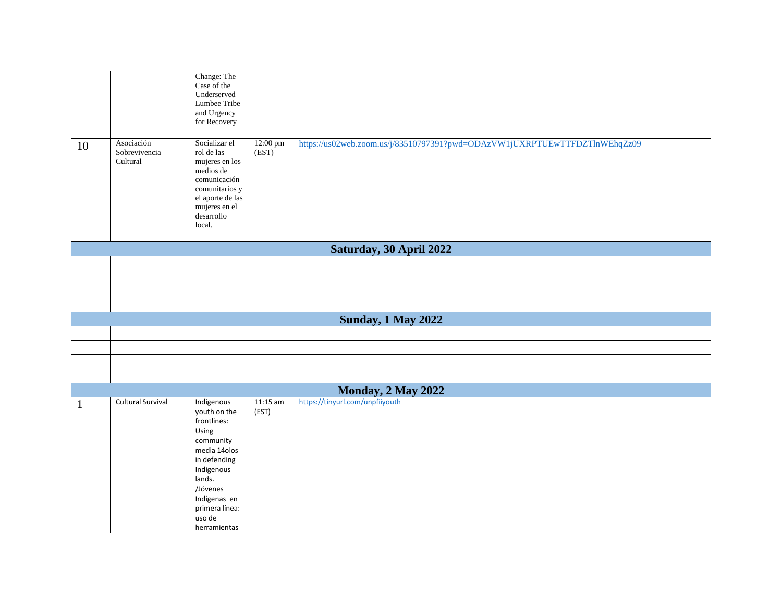| 10           | Asociación<br>Sobrevivencia | Change: The<br>Case of the<br>Underserved<br>Lumbee Tribe<br>and Urgency<br>for Recovery<br>Socializar el<br>rol de las                                                                         | 12:00 pm<br>(EST)   | https://us02web.zoom.us/j/83510797391?pwd=ODAzVW1jUXRPTUEwTTFDZTlnWEhqZz09 |
|--------------|-----------------------------|-------------------------------------------------------------------------------------------------------------------------------------------------------------------------------------------------|---------------------|----------------------------------------------------------------------------|
|              | Cultural                    | mujeres en los<br>medios de<br>comunicación<br>comunitarios y<br>el aporte de las<br>mujeres en el<br>desarrollo<br>local.                                                                      |                     |                                                                            |
|              |                             |                                                                                                                                                                                                 |                     | Saturday, 30 April 2022                                                    |
|              |                             |                                                                                                                                                                                                 |                     |                                                                            |
|              |                             |                                                                                                                                                                                                 |                     |                                                                            |
|              |                             |                                                                                                                                                                                                 |                     |                                                                            |
|              |                             |                                                                                                                                                                                                 |                     |                                                                            |
|              |                             |                                                                                                                                                                                                 |                     | <b>Sunday, 1 May 2022</b>                                                  |
|              |                             |                                                                                                                                                                                                 |                     |                                                                            |
|              |                             |                                                                                                                                                                                                 |                     |                                                                            |
|              |                             |                                                                                                                                                                                                 |                     |                                                                            |
|              |                             |                                                                                                                                                                                                 |                     |                                                                            |
|              |                             |                                                                                                                                                                                                 |                     | Monday, 2 May 2022                                                         |
| $\mathbf{1}$ | <b>Cultural Survival</b>    | Indigenous<br>youth on the<br>frontlines:<br>Using<br>community<br>media 14olos<br>in defending<br>Indigenous<br>lands.<br>/Jóvenes<br>Indígenas en<br>primera línea:<br>uso de<br>herramientas | $11:15$ am<br>(EST) | https://tinyurl.com/unpfiiyouth                                            |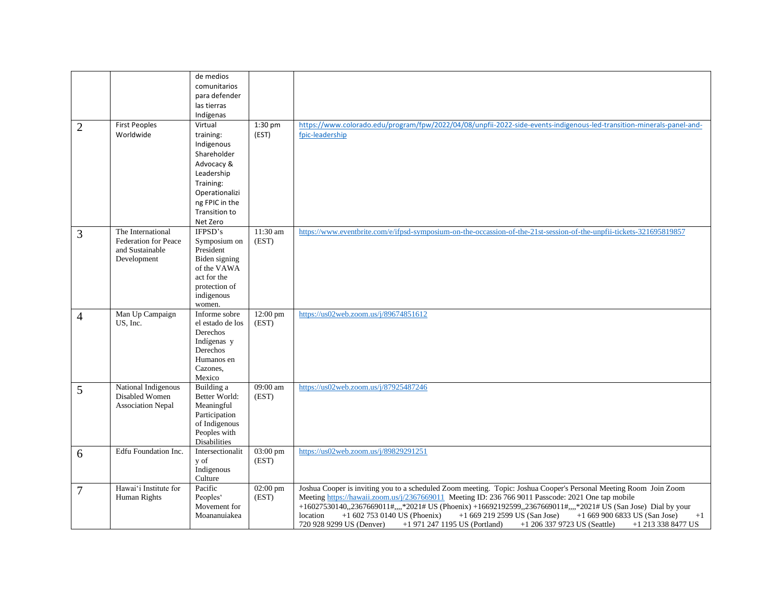|                |                                                                                    | de medios<br>comunitarios<br>para defender                                                                                                                   |                             |                                                                                                                                                                                                                                                                                                                                                                                                                                                                                                                                                                                  |
|----------------|------------------------------------------------------------------------------------|--------------------------------------------------------------------------------------------------------------------------------------------------------------|-----------------------------|----------------------------------------------------------------------------------------------------------------------------------------------------------------------------------------------------------------------------------------------------------------------------------------------------------------------------------------------------------------------------------------------------------------------------------------------------------------------------------------------------------------------------------------------------------------------------------|
|                |                                                                                    | las tierras                                                                                                                                                  |                             |                                                                                                                                                                                                                                                                                                                                                                                                                                                                                                                                                                                  |
| $\overline{2}$ | First Peoples<br>Worldwide                                                         | Indígenas<br>Virtual<br>training:<br>Indigenous<br>Shareholder<br>Advocacy &<br>Leadership<br>Training:<br>Operationalizi<br>ng FPIC in the<br>Transition to | $1:30$ pm<br>(EST)          | https://www.colorado.edu/program/fpw/2022/04/08/unpfii-2022-side-events-indigenous-led-transition-minerals-panel-and-<br>fpic-leadership                                                                                                                                                                                                                                                                                                                                                                                                                                         |
| 3              | The International<br><b>Federation for Peace</b><br>and Sustainable<br>Development | Net Zero<br>IFPSD's<br>Symposium on<br>President<br>Biden signing<br>of the VAWA<br>act for the<br>protection of<br>indigenous<br>women.                     | 11:30 am<br>(EST)           | https://www.eventbrite.com/e/ifpsd-symposium-on-the-occassion-of-the-21st-session-of-the-unpfii-tickets-321695819857                                                                                                                                                                                                                                                                                                                                                                                                                                                             |
| $\overline{4}$ | Man Up Campaign<br>US, Inc.                                                        | Informe sobre<br>el estado de los<br>Derechos<br>Indígenas y<br>Derechos<br>Humanos en<br>Cazones,<br>Mexico                                                 | 12:00 pm<br>(EST)           | https://us02web.zoom.us/j/89674851612                                                                                                                                                                                                                                                                                                                                                                                                                                                                                                                                            |
| 5              | National Indigenous<br>Disabled Women<br><b>Association Nepal</b>                  | Building a<br>Better World:<br>Meaningful<br>Participation<br>of Indigenous<br>Peoples with<br><b>Disabilities</b>                                           | 09:00 am<br>(EST)           | https://us02web.zoom.us/j/87925487246                                                                                                                                                                                                                                                                                                                                                                                                                                                                                                                                            |
| 6              | Edfu Foundation Inc.                                                               | Intersectionalit<br>y of<br>Indigenous<br>Culture                                                                                                            | $03:00 \text{ pm}$<br>(EST) | https://us02web.zoom.us/j/89829291251                                                                                                                                                                                                                                                                                                                                                                                                                                                                                                                                            |
| $\overline{7}$ | Hawai'i Institute for<br>Human Rights                                              | Pacific<br>Peoples'<br>Movement for<br>Moananuiakea                                                                                                          | 02:00 pm<br>(EST)           | Joshua Cooper is inviting you to a scheduled Zoom meeting. Topic: Joshua Cooper's Personal Meeting Room Join Zoom<br>Meeting https://hawaii.zoom.us/j/2367669011 Meeting ID: 236 766 9011 Passcode: 2021 One tap mobile<br>+16027530140,,2367669011#,,,,*2021# US (Phoenix) +16692192599,,2367669011#,,,,*2021# US (San Jose) Dial by your<br>$+16027530140$ US (Phoenix)<br>$+16692192599US(San Jose)$<br>$+16699006833$ US (San Jose)<br>location<br>$+1$<br>720 928 9299 US (Denver)<br>+1 971 247 1195 US (Portland)<br>+1 206 337 9723 US (Seattle)<br>$+1$ 213 338 8477 US |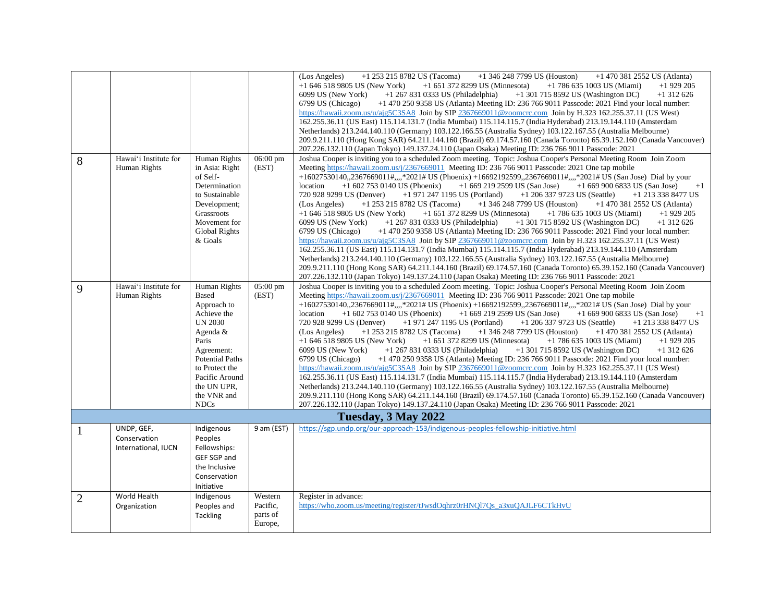|                |                       |                        |                    | (Los Angeles)<br>$+1$ 253 215 8782 US (Tacoma)<br>$+1$ 346 248 7799 US (Houston)<br>$+1$ 470 381 2552 US (Atlanta)    |
|----------------|-----------------------|------------------------|--------------------|-----------------------------------------------------------------------------------------------------------------------|
|                |                       |                        |                    | $+1$ 646 518 9805 US (New York)<br>$+1$ 651 372 8299 US (Minnesota)<br>$+1$ 786 635 1003 US (Miami)<br>$+1929205$     |
|                |                       |                        |                    | 6099 US (New York)<br>$+1$ 267 831 0333 US (Philadelphia)<br>$+1$ 301 715 8592 US (Washington DC)<br>$+1312626$       |
|                |                       |                        |                    | 6799 US (Chicago)<br>$+14702509358$ US (Atlanta) Meeting ID: 236 766 9011 Passcode: 2021 Find your local number:      |
|                |                       |                        |                    | https://hawaii.zoom.us/u/ajg5C3SA8 Join by SIP 2367669011@zoomcrc.com Join by H.323 162.255.37.11 (US West)           |
|                |                       |                        |                    | 162.255.36.11 (US East) 115.114.131.7 (India Mumbai) 115.114.115.7 (India Hyderabad) 213.19.144.110 (Amsterdam        |
|                |                       |                        |                    | Netherlands) 213.244.140.110 (Germany) 103.122.166.55 (Australia Sydney) 103.122.167.55 (Australia Melbourne)         |
|                |                       |                        |                    | 209.9.211.110 (Hong Kong SAR) 64.211.144.160 (Brazil) 69.174.57.160 (Canada Toronto) 65.39.152.160 (Canada Vancouver) |
|                |                       |                        |                    | 207.226.132.110 (Japan Tokyo) 149.137.24.110 (Japan Osaka) Meeting ID: 236 766 9011 Passcode: 2021                    |
| 8              | Hawai'i Institute for | Human Rights           | $06:00 \text{ pm}$ | Joshua Cooper is inviting you to a scheduled Zoom meeting. Topic: Joshua Cooper's Personal Meeting Room Join Zoom     |
|                | Human Rights          | in Asia: Right         | (EST)              | Meeting https://hawaii.zoom.us/j/2367669011 Meeting ID: 236 766 9011 Passcode: 2021 One tap mobile                    |
|                |                       | of Self-               |                    | +16027530140,,2367669011#,,,,*2021# US (Phoenix) +16692192599,,2367669011#,,,,*2021# US (San Jose) Dial by your       |
|                |                       | Determination          |                    | $+16692192599$ US (San Jose) $+16699006833$ US (San Jose)<br>location<br>$+16027530140$ US (Phoenix)<br>$+1$          |
|                |                       | to Sustainable         |                    | +1 971 247 1195 US (Portland)<br>$+1$ 206 337 9723 US (Seattle)<br>720 928 9299 US (Denver)<br>$+1$ 213 338 8477 US   |
|                |                       | Development;           |                    | +1 346 248 7799 US (Houston)<br>$+1$ 253 215 8782 US (Tacoma)<br>$+1$ 470 381 2552 US (Atlanta)<br>(Los Angeles)      |
|                |                       | Grassroots             |                    | $+16465189805$ US (New York)<br>+1 651 372 8299 US (Minnesota)<br>$+1$ 786 635 1003 US (Miami)<br>$+1929205$          |
|                |                       | Movement for           |                    | 6099 US (New York)<br>$+1$ 267 831 0333 US (Philadelphia)<br>$+1$ 301 715 8592 US (Washington DC)<br>$+1312626$       |
|                |                       | <b>Global Rights</b>   |                    | +1 470 250 9358 US (Atlanta) Meeting ID: 236 766 9011 Passcode: 2021 Find your local number:<br>6799 US (Chicago)     |
|                |                       | & Goals                |                    | https://hawaii.zoom.us/u/ajg5C3SA8 Join by SIP 2367669011@zoomcrc.com Join by H.323 162.255.37.11 (US West)           |
|                |                       |                        |                    | 162.255.36.11 (US East) 115.114.131.7 (India Mumbai) 115.114.115.7 (India Hyderabad) 213.19.144.110 (Amsterdam        |
|                |                       |                        |                    | Netherlands) 213.244.140.110 (Germany) 103.122.166.55 (Australia Sydney) 103.122.167.55 (Australia Melbourne)         |
|                |                       |                        |                    | 209.9.211.110 (Hong Kong SAR) 64.211.144.160 (Brazil) 69.174.57.160 (Canada Toronto) 65.39.152.160 (Canada Vancouver) |
|                |                       |                        |                    | 207.226.132.110 (Japan Tokyo) 149.137.24.110 (Japan Osaka) Meeting ID: 236 766 9011 Passcode: 2021                    |
| 9              | Hawai'i Institute for | Human Rights           | 05:00 pm           | Joshua Cooper is inviting you to a scheduled Zoom meeting. Topic: Joshua Cooper's Personal Meeting Room Join Zoom     |
|                | Human Rights          | <b>Based</b>           | (EST)              | Meeting https://hawaii.zoom.us/j/2367669011 Meeting ID: 236 766 9011 Passcode: 2021 One tap mobile                    |
|                |                       | Approach to            |                    | +16027530140,,2367669011#,,,,*2021# US (Phoenix) +16692192599,,2367669011#,,,,*2021# US (San Jose) Dial by your       |
|                |                       | Achieve the            |                    | location<br>$+1$ 602 753 0140 US (Phoenix)<br>$+16692192599$ US (San Jose)<br>$+16699006833$ US (San Jose)<br>$+1$    |
|                |                       | <b>UN 2030</b>         |                    | 720 928 9299 US (Denver)<br>$+1$ 971 247 1195 US (Portland)<br>$+1$ 206 337 9723 US (Seattle)<br>+1 213 338 8477 US   |
|                |                       | Agenda &               |                    | +1 253 215 8782 US (Tacoma)<br>$+1$ 346 248 7799 US (Houston)<br>$+1$ 470 381 2552 US (Atlanta)<br>(Los Angeles)      |
|                |                       | Paris                  |                    | $+1$ 646 518 9805 US (New York)<br>$+1$ 651 372 8299 US (Minnesota)<br>$+1$ 786 635 1003 US (Miami)<br>$+1929205$     |
|                |                       | Agreement:             |                    | 6099 US (New York)<br>$+1$ 267 831 0333 US (Philadelphia)<br>$+1$ 301 715 8592 US (Washington DC)<br>$+1312626$       |
|                |                       | <b>Potential Paths</b> |                    | +1 470 250 9358 US (Atlanta) Meeting ID: 236 766 9011 Passcode: 2021 Find your local number:<br>6799 US (Chicago)     |
|                |                       | to Protect the         |                    | https://hawaii.zoom.us/u/ajg5C3SA8 Join by SIP 2367669011@zoomcrc.com Join by H.323 162.255.37.11 (US West)           |
|                |                       | Pacific Around         |                    | 162.255.36.11 (US East) 115.114.131.7 (India Mumbai) 115.114.115.7 (India Hyderabad) 213.19.144.110 (Amsterdam        |
|                |                       | the UN UPR,            |                    | Netherlands) 213.244.140.110 (Germany) 103.122.166.55 (Australia Sydney) 103.122.167.55 (Australia Melbourne)         |
|                |                       | the VNR and            |                    | 209.9.211.110 (Hong Kong SAR) 64.211.144.160 (Brazil) 69.174.57.160 (Canada Toronto) 65.39.152.160 (Canada Vancouver) |
|                |                       | <b>NDCs</b>            |                    | 207.226.132.110 (Japan Tokyo) 149.137.24.110 (Japan Osaka) Meeting ID: 236 766 9011 Passcode: 2021                    |
|                |                       |                        |                    |                                                                                                                       |
|                |                       |                        |                    | Tuesday, 3 May 2022                                                                                                   |
| -1             | UNDP, GEF,            | Indigenous             | 9 am (EST)         | https://sgp.undp.org/our-approach-153/indigenous-peoples-fellowship-initiative.html                                   |
|                | Conservation          | Peoples                |                    |                                                                                                                       |
|                | International, IUCN   | Fellowships:           |                    |                                                                                                                       |
|                |                       | GEF SGP and            |                    |                                                                                                                       |
|                |                       | the Inclusive          |                    |                                                                                                                       |
|                |                       | Conservation           |                    |                                                                                                                       |
|                |                       | Initiative             |                    |                                                                                                                       |
| $\overline{2}$ | World Health          | Indigenous             | Western            | Register in advance:                                                                                                  |
|                | Organization          | Peoples and            | Pacific,           | https://who.zoom.us/meeting/register/tJwsdOqhrz0rHNOl7Os_a3xuOAJLF6CTkHvU                                             |
|                |                       | Tackling               | parts of           |                                                                                                                       |
|                |                       |                        | Europe,            |                                                                                                                       |
|                |                       |                        |                    |                                                                                                                       |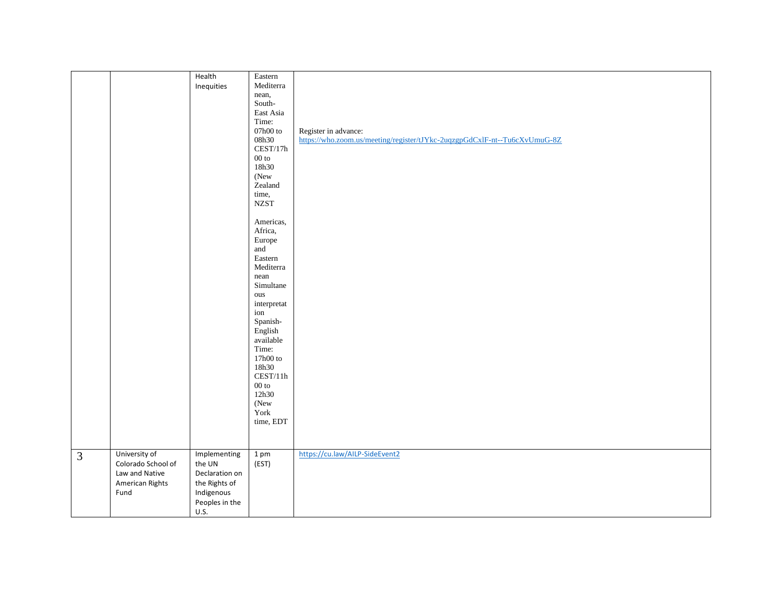|                |                    | Health         | Eastern             |                                                                           |
|----------------|--------------------|----------------|---------------------|---------------------------------------------------------------------------|
|                |                    |                |                     |                                                                           |
|                |                    | Inequities     | Mediterra           |                                                                           |
|                |                    |                | nean,               |                                                                           |
|                |                    |                | South-              |                                                                           |
|                |                    |                | East Asia           |                                                                           |
|                |                    |                | Time:               |                                                                           |
|                |                    |                | $07\mathrm{h}00$ to | Register in advance:                                                      |
|                |                    |                | 08h30               | https://who.zoom.us/meeting/register/tJYkc-2uqzgpGdCxlF-nt--Tu6cXvUmuG-8Z |
|                |                    |                | CEST/17h            |                                                                           |
|                |                    |                | $00\ {\rm to}$      |                                                                           |
|                |                    |                | 18h30               |                                                                           |
|                |                    |                |                     |                                                                           |
|                |                    |                | (New                |                                                                           |
|                |                    |                | Zealand             |                                                                           |
|                |                    |                | time,               |                                                                           |
|                |                    |                | <b>NZST</b>         |                                                                           |
|                |                    |                |                     |                                                                           |
|                |                    |                | Americas,           |                                                                           |
|                |                    |                | Africa,             |                                                                           |
|                |                    |                | Europe              |                                                                           |
|                |                    |                | and                 |                                                                           |
|                |                    |                | Eastern             |                                                                           |
|                |                    |                | Mediterra           |                                                                           |
|                |                    |                | nean                |                                                                           |
|                |                    |                | Simultane           |                                                                           |
|                |                    |                | ous                 |                                                                           |
|                |                    |                | interpretat         |                                                                           |
|                |                    |                | ion                 |                                                                           |
|                |                    |                | Spanish-            |                                                                           |
|                |                    |                | English             |                                                                           |
|                |                    |                | available           |                                                                           |
|                |                    |                | Time:               |                                                                           |
|                |                    |                |                     |                                                                           |
|                |                    |                | 17h00 to            |                                                                           |
|                |                    |                | 18h30               |                                                                           |
|                |                    |                | CEST/11h            |                                                                           |
|                |                    |                | $00\ {\rm to}$      |                                                                           |
|                |                    |                | 12h30               |                                                                           |
|                |                    |                | (New                |                                                                           |
|                |                    |                | York                |                                                                           |
|                |                    |                | time, EDT           |                                                                           |
|                |                    |                |                     |                                                                           |
|                |                    |                |                     |                                                                           |
| $\overline{3}$ | University of      | Implementing   | 1 <sub>pm</sub>     | https://cu.law/AILP-SideEvent2                                            |
|                | Colorado School of | the UN         | (EST)               |                                                                           |
|                | Law and Native     | Declaration on |                     |                                                                           |
|                |                    |                |                     |                                                                           |
|                | American Rights    | the Rights of  |                     |                                                                           |
|                | Fund               | Indigenous     |                     |                                                                           |
|                |                    | Peoples in the |                     |                                                                           |
|                |                    | U.S.           |                     |                                                                           |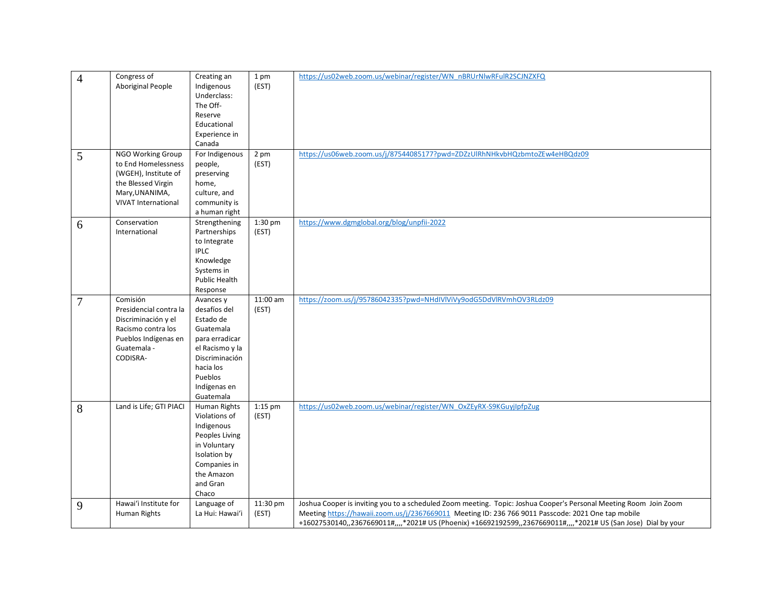| $\overline{4}$<br>5 | Congress of<br>Aboriginal People<br>NGO Working Group<br>to End Homelessness<br>(WGEH), Institute of<br>the Blessed Virgin<br>Mary, UNANIMA, | Creating an<br>Indigenous<br>Underclass:<br>The Off-<br>Reserve<br>Educational<br>Experience in<br>Canada<br>For Indigenous<br>people,<br>preserving<br>home,<br>culture, and | 1 pm<br>(EST)<br>2 pm<br>(EST) | https://us02web.zoom.us/webinar/register/WN_nBRUrNlwRFulR2SCJNZXFQ<br>https://us06web.zoom.us/j/87544085177?pwd=ZDZzUlRhNHkvbHQzbmtoZEw4eHBQdz09                                                                                                                                                                                           |
|---------------------|----------------------------------------------------------------------------------------------------------------------------------------------|-------------------------------------------------------------------------------------------------------------------------------------------------------------------------------|--------------------------------|--------------------------------------------------------------------------------------------------------------------------------------------------------------------------------------------------------------------------------------------------------------------------------------------------------------------------------------------|
|                     | <b>VIVAT International</b>                                                                                                                   | community is<br>a human right                                                                                                                                                 |                                |                                                                                                                                                                                                                                                                                                                                            |
| 6                   | Conservation<br>International                                                                                                                | Strengthening<br>Partnerships<br>to Integrate<br><b>IPLC</b><br>Knowledge<br>Systems in<br>Public Health<br>Response                                                          | 1:30 pm<br>(EST)               | https://www.dgmglobal.org/blog/unpfii-2022                                                                                                                                                                                                                                                                                                 |
| 7                   | Comisión<br>Presidencial contra la<br>Discriminación y el<br>Racismo contra los<br>Pueblos Indígenas en<br>Guatemala -<br>CODISRA-           | Avances y<br>desafíos del<br>Estado de<br>Guatemala<br>para erradicar<br>el Racismo y la<br>Discriminación<br>hacia los<br>Pueblos<br>Indígenas en<br>Guatemala               | 11:00 am<br>(EST)              | https://zoom.us/j/95786042335?pwd=NHdIVlViVy9odG5DdVlRVmhOV3RLdz09                                                                                                                                                                                                                                                                         |
| 8                   | Land is Life; GTI PIACI                                                                                                                      | Human Rights<br>Violations of<br>Indigenous<br>Peoples Living<br>in Voluntary<br>Isolation by<br>Companies in<br>the Amazon<br>and Gran<br>Chaco                              | $1:15$ pm<br>(EST)             | https://us02web.zoom.us/webinar/register/WN_OxZEyRX-S9KGuyjIpfpZug                                                                                                                                                                                                                                                                         |
| 9                   | Hawai'i Institute for<br>Human Rights                                                                                                        | Language of<br>La Hui: Hawai'i                                                                                                                                                | 11:30 pm<br>(EST)              | Joshua Cooper is inviting you to a scheduled Zoom meeting. Topic: Joshua Cooper's Personal Meeting Room Join Zoom<br>Meeting https://hawaii.zoom.us/j/2367669011 Meeting ID: 236 766 9011 Passcode: 2021 One tap mobile<br>+16027530140,,2367669011#,,,,*2021# US (Phoenix) +16692192599,,2367669011#,,,,*2021# US (San Jose) Dial by your |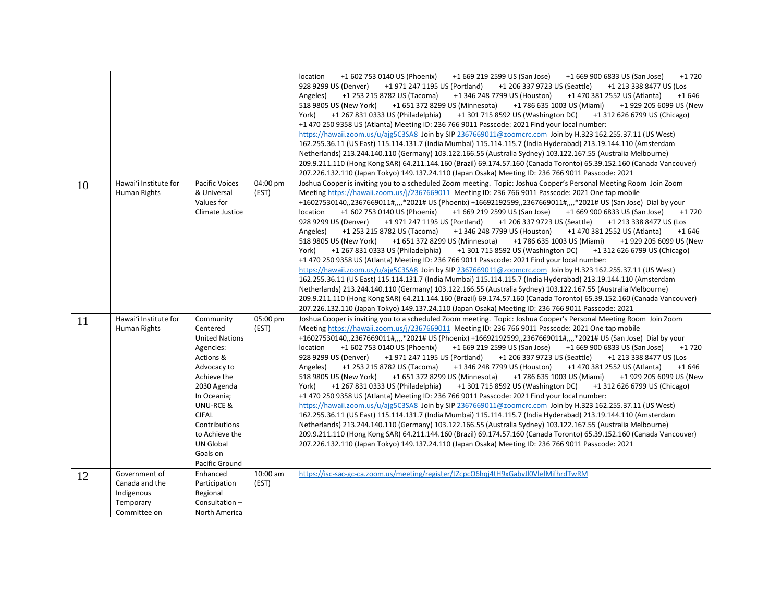|    |                                                                            |                                                                                                                                                                                                                                                        |                   | +1 669 219 2599 US (San Jose)<br>+1 602 753 0140 US (Phoenix)<br>+1 669 900 6833 US (San Jose)<br>+1 720<br>location<br>928 9299 US (Denver)<br>+1 971 247 1195 US (Portland)<br>+1 206 337 9723 US (Seattle)<br>+1 213 338 8477 US (Los<br>+1 253 215 8782 US (Tacoma)<br>+1 346 248 7799 US (Houston)<br>+1 470 381 2552 US (Atlanta)<br>$+1646$<br>Angeles)<br>518 9805 US (New York)<br>+1 651 372 8299 US (Minnesota)<br>+1 786 635 1003 US (Miami)<br>+1 929 205 6099 US (New<br>York)<br>+1 267 831 0333 US (Philadelphia)<br>+1 301 715 8592 US (Washington DC)<br>+1 312 626 6799 US (Chicago)<br>+1 470 250 9358 US (Atlanta) Meeting ID: 236 766 9011 Passcode: 2021 Find your local number:<br>https://hawaii.zoom.us/u/ajg5C3SA8 Join by SIP 2367669011@zoomcrc.com Join by H.323 162.255.37.11 (US West)<br>162.255.36.11 (US East) 115.114.131.7 (India Mumbai) 115.114.115.7 (India Hyderabad) 213.19.144.110 (Amsterdam<br>Netherlands) 213.244.140.110 (Germany) 103.122.166.55 (Australia Sydney) 103.122.167.55 (Australia Melbourne)<br>209.9.211.110 (Hong Kong SAR) 64.211.144.160 (Brazil) 69.174.57.160 (Canada Toronto) 65.39.152.160 (Canada Vancouver)<br>207.226.132.110 (Japan Tokyo) 149.137.24.110 (Japan Osaka) Meeting ID: 236 766 9011 Passcode: 2021                                                                                                                                                                                                                                                                                                                                                |
|----|----------------------------------------------------------------------------|--------------------------------------------------------------------------------------------------------------------------------------------------------------------------------------------------------------------------------------------------------|-------------------|-----------------------------------------------------------------------------------------------------------------------------------------------------------------------------------------------------------------------------------------------------------------------------------------------------------------------------------------------------------------------------------------------------------------------------------------------------------------------------------------------------------------------------------------------------------------------------------------------------------------------------------------------------------------------------------------------------------------------------------------------------------------------------------------------------------------------------------------------------------------------------------------------------------------------------------------------------------------------------------------------------------------------------------------------------------------------------------------------------------------------------------------------------------------------------------------------------------------------------------------------------------------------------------------------------------------------------------------------------------------------------------------------------------------------------------------------------------------------------------------------------------------------------------------------------------------------------------------------------------------------------------------|
| 10 | Hawai'i Institute for<br>Human Rights                                      | <b>Pacific Voices</b><br>& Universal<br>Values for<br>Climate Justice                                                                                                                                                                                  | 04:00 pm<br>(EST) | Joshua Cooper is inviting you to a scheduled Zoom meeting. Topic: Joshua Cooper's Personal Meeting Room Join Zoom<br>Meeting https://hawaii.zoom.us/j/2367669011 Meeting ID: 236 766 9011 Passcode: 2021 One tap mobile<br>+16027530140,,2367669011#,,,,*2021# US (Phoenix) +16692192599,,2367669011#,,,,*2021# US (San Jose) Dial by your<br>$+1720$<br>location<br>+1 602 753 0140 US (Phoenix)<br>+1 669 219 2599 US (San Jose)<br>+1 669 900 6833 US (San Jose)<br>928 9299 US (Denver)<br>+1 971 247 1195 US (Portland)<br>+1 206 337 9723 US (Seattle)<br>+1 213 338 8477 US (Los<br>+1 253 215 8782 US (Tacoma)<br>+1 346 248 7799 US (Houston)<br>+1 470 381 2552 US (Atlanta)<br>Angeles)<br>$+1646$<br>+1 651 372 8299 US (Minnesota)<br>+1 786 635 1003 US (Miami)<br>518 9805 US (New York)<br>+1 929 205 6099 US (New<br>York)<br>+1 267 831 0333 US (Philadelphia)<br>+1 301 715 8592 US (Washington DC)<br>+1 312 626 6799 US (Chicago)<br>+1 470 250 9358 US (Atlanta) Meeting ID: 236 766 9011 Passcode: 2021 Find your local number:<br>https://hawaii.zoom.us/u/ajg5C3SA8 Join by SIP 2367669011@zoomcrc.com Join by H.323 162.255.37.11 (US West)<br>162.255.36.11 (US East) 115.114.131.7 (India Mumbai) 115.114.115.7 (India Hyderabad) 213.19.144.110 (Amsterdam<br>Netherlands) 213.244.140.110 (Germany) 103.122.166.55 (Australia Sydney) 103.122.167.55 (Australia Melbourne)<br>209.9.211.110 (Hong Kong SAR) 64.211.144.160 (Brazil) 69.174.57.160 (Canada Toronto) 65.39.152.160 (Canada Vancouver)<br>207.226.132.110 (Japan Tokyo) 149.137.24.110 (Japan Osaka) Meeting ID: 236 766 9011 Passcode: 2021 |
| 11 | Hawai'i Institute for<br>Human Rights                                      | Community<br>Centered<br><b>United Nations</b><br>Agencies:<br>Actions &<br>Advocacy to<br>Achieve the<br>2030 Agenda<br>In Oceania;<br>UNU-RCE &<br><b>CIFAL</b><br>Contributions<br>to Achieve the<br><b>UN Global</b><br>Goals on<br>Pacific Ground | 05:00 pm<br>(EST) | Joshua Cooper is inviting you to a scheduled Zoom meeting. Topic: Joshua Cooper's Personal Meeting Room Join Zoom<br>Meeting https://hawaii.zoom.us/j/2367669011 Meeting ID: 236 766 9011 Passcode: 2021 One tap mobile<br>+16027530140,,2367669011#,,,,*2021# US (Phoenix) +16692192599,,2367669011#,,,,*2021# US (San Jose) Dial by your<br>location<br>+1 602 753 0140 US (Phoenix)<br>+1 669 219 2599 US (San Jose)<br>+1 669 900 6833 US (San Jose)<br>$+1720$<br>928 9299 US (Denver)<br>+1 971 247 1195 US (Portland)<br>+1 206 337 9723 US (Seattle)<br>+1 213 338 8477 US (Los<br>+1 253 215 8782 US (Tacoma)<br>+1 346 248 7799 US (Houston)<br>+1 470 381 2552 US (Atlanta)<br>$+1646$<br>Angeles)<br>518 9805 US (New York)<br>+1 651 372 8299 US (Minnesota)<br>+1 786 635 1003 US (Miami)<br>+1 929 205 6099 US (New<br>+1 267 831 0333 US (Philadelphia)<br>+1 301 715 8592 US (Washington DC)<br>York)<br>+1 312 626 6799 US (Chicago)<br>+1 470 250 9358 US (Atlanta) Meeting ID: 236 766 9011 Passcode: 2021 Find your local number:<br>https://hawaii.zoom.us/u/ajg5C3SA8 Join by SIP 2367669011@zoomcrc.com Join by H.323 162.255.37.11 (US West)<br>162.255.36.11 (US East) 115.114.131.7 (India Mumbai) 115.114.115.7 (India Hyderabad) 213.19.144.110 (Amsterdam<br>Netherlands) 213.244.140.110 (Germany) 103.122.166.55 (Australia Sydney) 103.122.167.55 (Australia Melbourne)<br>209.9.211.110 (Hong Kong SAR) 64.211.144.160 (Brazil) 69.174.57.160 (Canada Toronto) 65.39.152.160 (Canada Vancouver)<br>207.226.132.110 (Japan Tokyo) 149.137.24.110 (Japan Osaka) Meeting ID: 236 766 9011 Passcode: 2021 |
| 12 | Government of<br>Canada and the<br>Indigenous<br>Temporary<br>Committee on | Enhanced<br>Participation<br>Regional<br>Consultation-<br>North America                                                                                                                                                                                | 10:00 am<br>(EST) | https://isc-sac-gc-ca.zoom.us/meeting/register/tZcpcO6hgj4tH9xGabvJl0VleIMifhrdTwRM                                                                                                                                                                                                                                                                                                                                                                                                                                                                                                                                                                                                                                                                                                                                                                                                                                                                                                                                                                                                                                                                                                                                                                                                                                                                                                                                                                                                                                                                                                                                                     |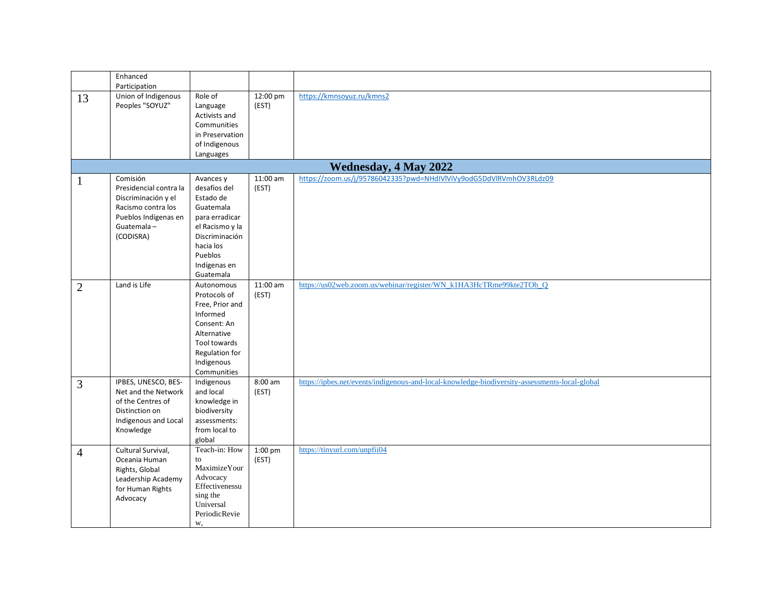|                | Enhanced<br>Participation                                                                                                          |                                                                                                                                                                 |                     |                                                                                               |
|----------------|------------------------------------------------------------------------------------------------------------------------------------|-----------------------------------------------------------------------------------------------------------------------------------------------------------------|---------------------|-----------------------------------------------------------------------------------------------|
| 13             | Union of Indigenous<br>Peoples "SOYUZ"                                                                                             | Role of<br>Language<br>Activists and<br>Communities<br>in Preservation<br>of Indigenous<br>Languages                                                            | 12:00 pm<br>(EST)   | https://kmnsoyuz.ru/kmns2                                                                     |
|                |                                                                                                                                    |                                                                                                                                                                 |                     | <b>Wednesday, 4 May 2022</b>                                                                  |
| $\mathbf{1}$   | Comisión<br>Presidencial contra la<br>Discriminación y el<br>Racismo contra los<br>Pueblos Indígenas en<br>Guatemala-<br>(CODISRA) | Avances y<br>desafíos del<br>Estado de<br>Guatemala<br>para erradicar<br>el Racismo y la<br>Discriminación<br>hacia los<br>Pueblos<br>Indígenas en<br>Guatemala | $11:00$ am<br>(EST) | https://zoom.us/j/95786042335?pwd=NHdIVIViVy9odG5DdVlRVmhOV3RLdz09                            |
| $\overline{2}$ | Land is Life                                                                                                                       | Autonomous<br>Protocols of<br>Free, Prior and<br>Informed<br>Consent: An<br>Alternative<br>Tool towards<br>Regulation for<br>Indigenous<br>Communities          | 11:00 am<br>(EST)   | https://us02web.zoom.us/webinar/register/WN_k1HA3HcTRme99kte2TOb_Q                            |
| 3              | IPBES, UNESCO, BES-<br>Net and the Network<br>of the Centres of<br>Distinction on<br>Indigenous and Local<br>Knowledge             | Indigenous<br>and local<br>knowledge in<br>biodiversity<br>assessments:<br>from local to<br>global                                                              | 8:00 am<br>(EST)    | https://ipbes.net/events/indigenous-and-local-knowledge-biodiversity-assessments-local-global |
| 4              | Cultural Survival,<br>Oceania Human<br>Rights, Global<br>Leadership Academy<br>for Human Rights<br>Advocacy                        | Teach-in: How<br>to<br>MaximizeYour<br>Advocacy<br>Effectivenessu<br>sing the<br>Universal<br>PeriodicRevie<br>w,                                               | 1:00 pm<br>(EST)    | https://tinyurl.com/unpfii04                                                                  |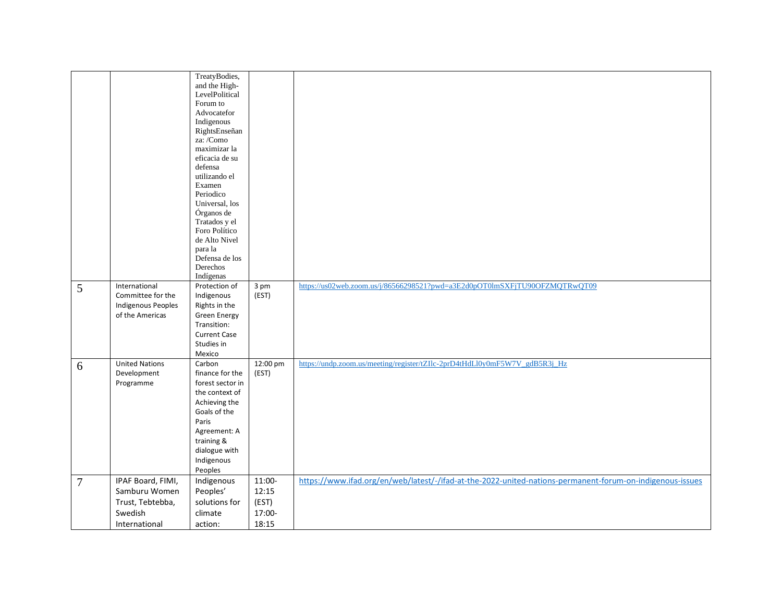|                |                           | TreatyBodies,                      |          |                                                                                                           |
|----------------|---------------------------|------------------------------------|----------|-----------------------------------------------------------------------------------------------------------|
|                |                           | and the High-                      |          |                                                                                                           |
|                |                           | LevelPolitical                     |          |                                                                                                           |
|                |                           | Forum to                           |          |                                                                                                           |
|                |                           | Advocatefor                        |          |                                                                                                           |
|                |                           | Indigenous<br>RightsEnseñan        |          |                                                                                                           |
|                |                           | za: /Como                          |          |                                                                                                           |
|                |                           | maximizar la                       |          |                                                                                                           |
|                |                           | eficacia de su                     |          |                                                                                                           |
|                |                           | defensa                            |          |                                                                                                           |
|                |                           | utilizando el                      |          |                                                                                                           |
|                |                           | Examen                             |          |                                                                                                           |
|                |                           | Periodico                          |          |                                                                                                           |
|                |                           | Universal, los                     |          |                                                                                                           |
|                |                           | Órganos de                         |          |                                                                                                           |
|                |                           | Tratados y el                      |          |                                                                                                           |
|                |                           | Foro Político                      |          |                                                                                                           |
|                |                           | de Alto Nivel                      |          |                                                                                                           |
|                |                           | para la                            |          |                                                                                                           |
|                |                           | Defensa de los                     |          |                                                                                                           |
|                |                           | Derechos<br>Indígenas              |          |                                                                                                           |
|                | International             | Protection of                      | 3 pm     | https://us02web.zoom.us/j/86566298521?pwd=a3E2d0pOT0lmSXFjTU90OFZMQTRwQT09                                |
| 5              | Committee for the         | Indigenous                         | (EST)    |                                                                                                           |
|                | <b>Indigenous Peoples</b> | Rights in the                      |          |                                                                                                           |
|                | of the Americas           |                                    |          |                                                                                                           |
|                |                           | <b>Green Energy</b><br>Transition: |          |                                                                                                           |
|                |                           | <b>Current Case</b>                |          |                                                                                                           |
|                |                           | Studies in                         |          |                                                                                                           |
|                |                           | Mexico                             |          |                                                                                                           |
|                | <b>United Nations</b>     | Carbon                             | 12:00 pm | https://undp.zoom.us/meeting/register/tZIlc-2prD4tHdLl0y0mF5W7V_gdB5R3j_Hz                                |
| 6              | Development               | finance for the                    | (EST)    |                                                                                                           |
|                | Programme                 | forest sector in                   |          |                                                                                                           |
|                |                           | the context of                     |          |                                                                                                           |
|                |                           | Achieving the                      |          |                                                                                                           |
|                |                           | Goals of the                       |          |                                                                                                           |
|                |                           | Paris                              |          |                                                                                                           |
|                |                           | Agreement: A                       |          |                                                                                                           |
|                |                           | training &                         |          |                                                                                                           |
|                |                           | dialogue with                      |          |                                                                                                           |
|                |                           | Indigenous                         |          |                                                                                                           |
|                |                           | Peoples                            |          |                                                                                                           |
| $\overline{7}$ | IPAF Board, FIMI,         | Indigenous                         | 11:00-   | https://www.ifad.org/en/web/latest/-/ifad-at-the-2022-united-nations-permanent-forum-on-indigenous-issues |
|                | Samburu Women             | Peoples'                           | 12:15    |                                                                                                           |
|                | Trust, Tebtebba,          | solutions for                      | (EST)    |                                                                                                           |
|                | Swedish                   | climate                            | 17:00-   |                                                                                                           |
|                |                           |                                    |          |                                                                                                           |
|                | International             | action:                            | 18:15    |                                                                                                           |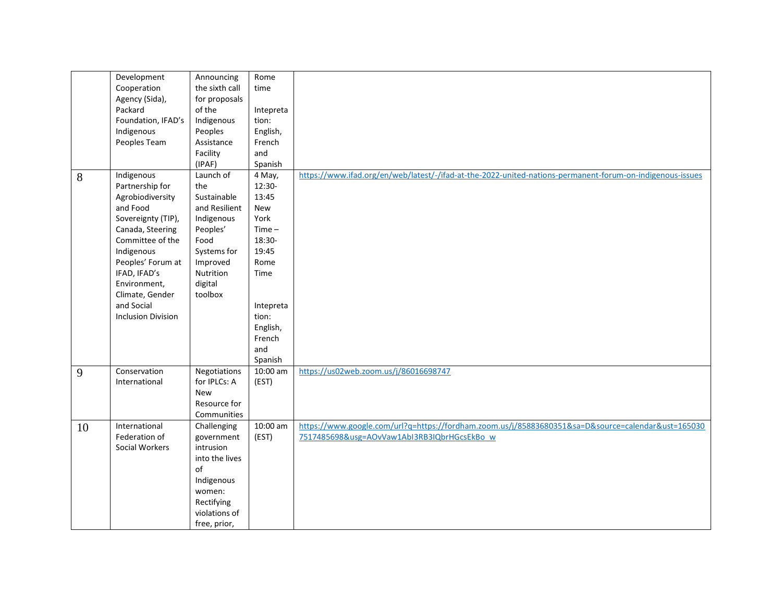|    | Development               | Announcing           | Rome      |                                                                                                           |
|----|---------------------------|----------------------|-----------|-----------------------------------------------------------------------------------------------------------|
|    | Cooperation               | the sixth call       | time      |                                                                                                           |
|    | Agency (Sida),            | for proposals        |           |                                                                                                           |
|    | Packard                   | of the               | Intepreta |                                                                                                           |
|    | Foundation, IFAD's        | Indigenous           | tion:     |                                                                                                           |
|    |                           |                      |           |                                                                                                           |
|    | Indigenous                | Peoples              | English,  |                                                                                                           |
|    | Peoples Team              | Assistance           | French    |                                                                                                           |
|    |                           | Facility             | and       |                                                                                                           |
|    |                           | (IPAF)               | Spanish   |                                                                                                           |
| 8  | Indigenous                | Launch of            | 4 May,    | https://www.ifad.org/en/web/latest/-/ifad-at-the-2022-united-nations-permanent-forum-on-indigenous-issues |
|    | Partnership for           | the                  | 12:30-    |                                                                                                           |
|    | Agrobiodiversity          | Sustainable          | 13:45     |                                                                                                           |
|    | and Food                  | and Resilient        | New       |                                                                                                           |
|    | Sovereignty (TIP),        | Indigenous           | York      |                                                                                                           |
|    | Canada, Steering          | Peoples'             | $Time -$  |                                                                                                           |
|    | Committee of the          | Food                 | 18:30-    |                                                                                                           |
|    | Indigenous                | Systems for          | 19:45     |                                                                                                           |
|    | Peoples' Forum at         | Improved             | Rome      |                                                                                                           |
|    |                           |                      |           |                                                                                                           |
|    | IFAD, IFAD's              | Nutrition            | Time      |                                                                                                           |
|    | Environment,              | digital              |           |                                                                                                           |
|    | Climate, Gender           | toolbox              |           |                                                                                                           |
|    | and Social                |                      | Intepreta |                                                                                                           |
|    | <b>Inclusion Division</b> |                      | tion:     |                                                                                                           |
|    |                           |                      | English,  |                                                                                                           |
|    |                           |                      | French    |                                                                                                           |
|    |                           |                      | and       |                                                                                                           |
|    |                           |                      | Spanish   |                                                                                                           |
| 9  | Conservation              | Negotiations         | 10:00 am  | https://us02web.zoom.us/j/86016698747                                                                     |
|    | International             | for IPLCs: A         | (EST)     |                                                                                                           |
|    |                           | <b>New</b>           |           |                                                                                                           |
|    |                           | Resource for         |           |                                                                                                           |
|    |                           | Communities          |           |                                                                                                           |
| 10 | International             | Challenging          | 10:00 am  | https://www.google.com/url?q=https://fordham.zoom.us/j/85883680351&sa=D&source=calendar&ust=165030        |
|    | Federation of             | government           | (EST)     | 7517485698&usg=AOvVaw1AbI3RB3IQbrHGcsEkBo w                                                               |
|    | Social Workers            | intrusion            |           |                                                                                                           |
|    |                           |                      |           |                                                                                                           |
|    |                           | into the lives<br>of |           |                                                                                                           |
|    |                           |                      |           |                                                                                                           |
|    |                           | Indigenous           |           |                                                                                                           |
|    |                           | women:               |           |                                                                                                           |
|    |                           | Rectifying           |           |                                                                                                           |
|    |                           | violations of        |           |                                                                                                           |
|    |                           | free, prior,         |           |                                                                                                           |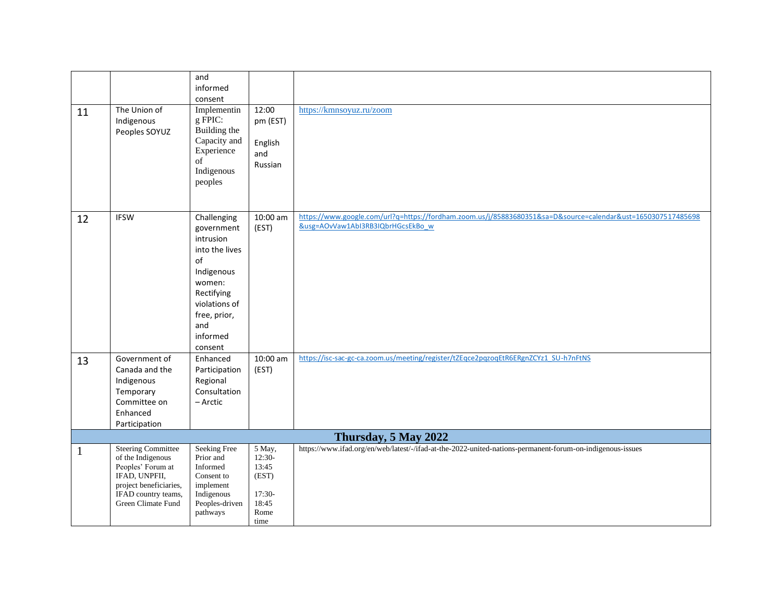|    |                                                                                                                                                             | and<br>informed<br>consent                                                                                                                                          |                                                                         |                                                                                                                                                   |
|----|-------------------------------------------------------------------------------------------------------------------------------------------------------------|---------------------------------------------------------------------------------------------------------------------------------------------------------------------|-------------------------------------------------------------------------|---------------------------------------------------------------------------------------------------------------------------------------------------|
| 11 | The Union of<br>Indigenous<br>Peoples SOYUZ                                                                                                                 | Implementin<br>g FPIC:<br>Building the<br>Capacity and<br>Experience<br>of<br>Indigenous<br>peoples                                                                 | 12:00<br>pm (EST)<br>English<br>and<br>Russian                          | https://kmnsoyuz.ru/zoom                                                                                                                          |
| 12 | <b>IFSW</b>                                                                                                                                                 | Challenging<br>government<br>intrusion<br>into the lives<br>of<br>Indigenous<br>women:<br>Rectifying<br>violations of<br>free, prior,<br>and<br>informed<br>consent | 10:00 am<br>(EST)                                                       | https://www.google.com/url?q=https://fordham.zoom.us/j/85883680351&sa=D&source=calendar&ust=1650307517485698<br>&usg=AOvVaw1AbI3RB3IQbrHGcsEkBo w |
| 13 | Government of<br>Canada and the<br>Indigenous<br>Temporary<br>Committee on<br>Enhanced<br>Participation                                                     | Enhanced<br>Participation<br>Regional<br>Consultation<br>– Arctic                                                                                                   | 10:00 am<br>(EST)                                                       | https://isc-sac-gc-ca.zoom.us/meeting/register/tZEqce2pqzoqEtR6ERgnZCYz1_SU-h7nFtNS                                                               |
|    |                                                                                                                                                             |                                                                                                                                                                     |                                                                         | Thursday, 5 May 2022                                                                                                                              |
| 1  | <b>Steering Committee</b><br>of the Indigenous<br>Peoples' Forum at<br>IFAD, UNPFII,<br>project beneficiaries,<br>IFAD country teams,<br>Green Climate Fund | <b>Seeking Free</b><br>Prior and<br>Informed<br>Consent to<br>implement<br>Indigenous<br>Peoples-driven<br>pathways                                                 | 5 May,<br>$12:30-$<br>13:45<br>(EST)<br>17:30-<br>18:45<br>Rome<br>time | https://www.ifad.org/en/web/latest/-/ifad-at-the-2022-united-nations-permanent-forum-on-indigenous-issues                                         |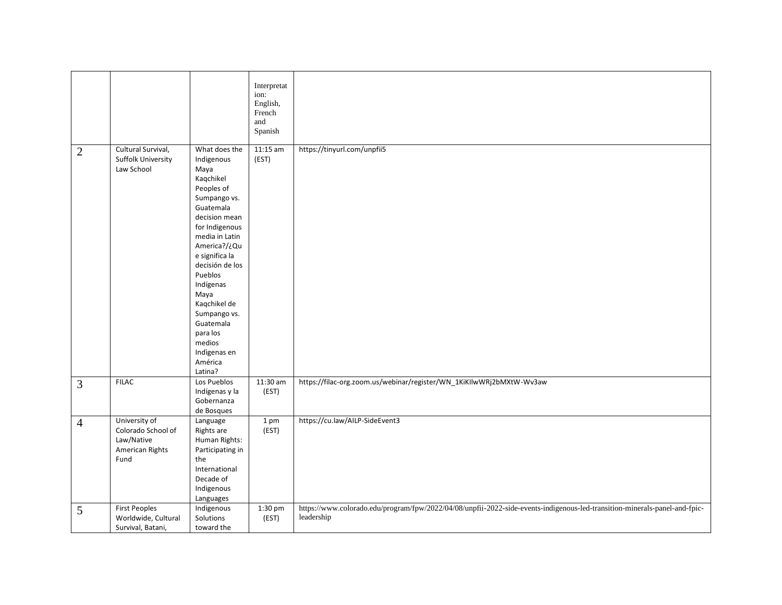|                |                                                                              |                                                                                                                                                                                                                                                                                                                                                | Interpretat<br>ion:<br>English,<br>French<br>and<br>Spanish |                                                                                                                                          |
|----------------|------------------------------------------------------------------------------|------------------------------------------------------------------------------------------------------------------------------------------------------------------------------------------------------------------------------------------------------------------------------------------------------------------------------------------------|-------------------------------------------------------------|------------------------------------------------------------------------------------------------------------------------------------------|
| $\overline{2}$ | Cultural Survival,<br><b>Suffolk University</b><br>Law School                | What does the<br>Indigenous<br>Maya<br>Kaqchikel<br>Peoples of<br>Sumpango vs.<br>Guatemala<br>decision mean<br>for Indigenous<br>media in Latin<br>America?/¿Qu<br>e significa la<br>decisión de los<br>Pueblos<br>Indígenas<br>Maya<br>Kaqchikel de<br>Sumpango vs.<br>Guatemala<br>para los<br>medios<br>Indigenas en<br>América<br>Latina? | $11:15$ am<br>(EST)                                         | https://tinyurl.com/unpfii5                                                                                                              |
| $\mathfrak{Z}$ | <b>FILAC</b>                                                                 | Los Pueblos<br>Indígenas y la<br>Gobernanza<br>de Bosques                                                                                                                                                                                                                                                                                      | $11:30$ am<br>(EST)                                         | https://filac-org.zoom.us/webinar/register/WN_1KiKIlwWRj2bMXtW-Wv3aw                                                                     |
| $\overline{4}$ | University of<br>Colorado School of<br>Law/Native<br>American Rights<br>Fund | Language<br>Rights are<br>Human Rights:<br>Participating in<br>the<br>International<br>Decade of<br>Indigenous<br>Languages                                                                                                                                                                                                                    | 1 pm<br>(EST)                                               | https://cu.law/AILP-SideEvent3                                                                                                           |
| $\mathfrak{S}$ | <b>First Peoples</b><br>Worldwide, Cultural<br>Survival, Batani,             | Indigenous<br>Solutions<br>toward the                                                                                                                                                                                                                                                                                                          | 1:30 pm<br>(EST)                                            | https://www.colorado.edu/program/fpw/2022/04/08/unpfii-2022-side-events-indigenous-led-transition-minerals-panel-and-fpic-<br>leadership |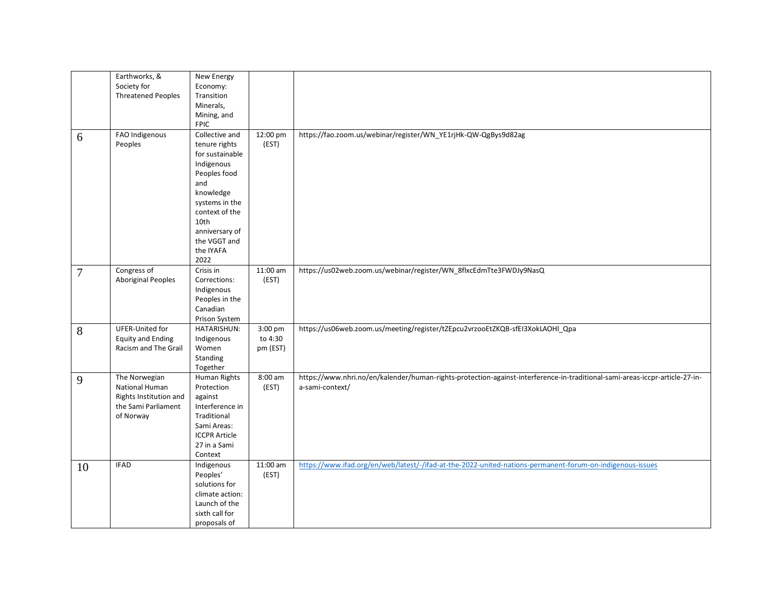|                | Earthworks, &<br>Society for<br><b>Threatened Peoples</b>                                     | New Energy<br>Economy:<br>Transition<br>Minerals,<br>Mining, and<br><b>FPIC</b>                                                                                                                         |                                |                                                                                                                                                |
|----------------|-----------------------------------------------------------------------------------------------|---------------------------------------------------------------------------------------------------------------------------------------------------------------------------------------------------------|--------------------------------|------------------------------------------------------------------------------------------------------------------------------------------------|
| 6              | FAO Indigenous<br>Peoples                                                                     | Collective and<br>tenure rights<br>for sustainable<br>Indigenous<br>Peoples food<br>and<br>knowledge<br>systems in the<br>context of the<br>10th<br>anniversary of<br>the VGGT and<br>the IYAFA<br>2022 | 12:00 pm<br>(EST)              | https://fao.zoom.us/webinar/register/WN_YE1rjHk-QW-QgBys9d82ag                                                                                 |
| $\overline{7}$ | Congress of<br><b>Aboriginal Peoples</b>                                                      | Crisis in<br>Corrections:<br>Indigenous<br>Peoples in the<br>Canadian<br>Prison System                                                                                                                  | 11:00 am<br>(EST)              | https://us02web.zoom.us/webinar/register/WN_8flxcEdmTte3FWDJy9NasQ                                                                             |
| 8              | UFER-United for<br><b>Equity and Ending</b><br>Racism and The Grail                           | HATARISHUN:<br>Indigenous<br>Women<br>Standing<br>Together                                                                                                                                              | 3:00 pm<br>to 4:30<br>pm (EST) | https://us06web.zoom.us/meeting/register/tZEpcu2vrzooEtZKQB-sfEI3XokLAOHI_Qpa                                                                  |
| 9              | The Norwegian<br>National Human<br>Rights Institution and<br>the Sami Parliament<br>of Norway | Human Rights<br>Protection<br>against<br>Interference in<br>Traditional<br>Sami Areas:<br><b>ICCPR Article</b><br>27 in a Sami<br>Context                                                               | $8:00$ am<br>(EST)             | https://www.nhri.no/en/kalender/human-rights-protection-against-interference-in-traditional-sami-areas-iccpr-article-27-in-<br>a-sami-context/ |
| 10             | <b>IFAD</b>                                                                                   | Indigenous<br>Peoples'<br>solutions for<br>climate action:<br>Launch of the<br>sixth call for<br>proposals of                                                                                           | $11:00$ am<br>(EST)            | https://www.ifad.org/en/web/latest/-/ifad-at-the-2022-united-nations-permanent-forum-on-indigenous-issues                                      |